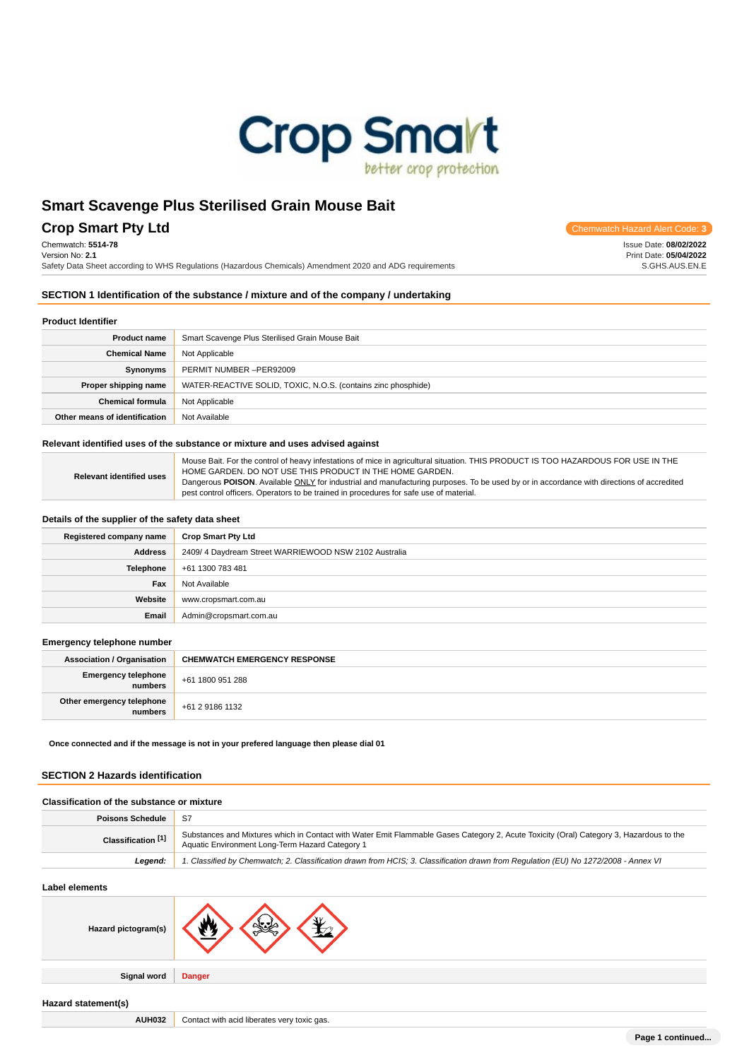

# **Crop Smart Pty Ltd** Chemwatch Hazard Alert Code: **3**

Chemwatch: **5514-78**

Version No: **2.1** Safety Data Sheet according to WHS Regulations (Hazardous Chemicals) Amendment 2020 and ADG requirements

# **SECTION 1 Identification of the substance / mixture and of the company / undertaking**

| <b>Product Identifier</b>     |                                                               |  |
|-------------------------------|---------------------------------------------------------------|--|
| <b>Product name</b>           | Smart Scavenge Plus Sterilised Grain Mouse Bait               |  |
| <b>Chemical Name</b>          | Not Applicable                                                |  |
| Synonyms                      | PERMIT NUMBER -PER92009                                       |  |
| Proper shipping name          | WATER-REACTIVE SOLID, TOXIC, N.O.S. (contains zinc phosphide) |  |
| <b>Chemical formula</b>       | Not Applicable                                                |  |
| Other means of identification | Not Available                                                 |  |

# **Relevant identified uses of the substance or mixture and uses advised against**

| <b>Relevant identified uses</b> | Mouse Bait. For the control of heavy infestations of mice in agricultural situation. THIS PRODUCT IS TOO HAZARDOUS FOR USE IN THE        |
|---------------------------------|------------------------------------------------------------------------------------------------------------------------------------------|
|                                 | HOME GARDEN. DO NOT USE THIS PRODUCT IN THE HOME GARDEN.                                                                                 |
|                                 | Dangerous POISON. Available ONLY for industrial and manufacturing purposes. To be used by or in accordance with directions of accredited |
|                                 | pest control officers. Operators to be trained in procedures for safe use of material.                                                   |

### **Details of the supplier of the safety data sheet**

| Registered company name | <b>Crop Smart Pty Ltd</b>                            |
|-------------------------|------------------------------------------------------|
| <b>Address</b>          | 2409/4 Daydream Street WARRIEWOOD NSW 2102 Australia |
| Telephone               | +61 1300 783 481                                     |
| Fax                     | Not Available                                        |
| Website                 | www.cropsmart.com.au                                 |
| Email                   | Admin@cropsmart.com.au                               |

#### **Emergency telephone number**

| <b>Association / Organisation</b>    | <b>CHEMWATCH EMERGENCY RESPONSE</b> |
|--------------------------------------|-------------------------------------|
| Emergency telephone<br>numbers       | +61 1800 951 288                    |
| Other emergency telephone<br>numbers | +61 2 9186 1132                     |

**Once connected and if the message is not in your prefered language then please dial 01**

### **SECTION 2 Hazards identification**

| Classification of the substance or mixture |                                                                                                                                                                                            |  |  |
|--------------------------------------------|--------------------------------------------------------------------------------------------------------------------------------------------------------------------------------------------|--|--|
| <b>Poisons Schedule</b>                    | S7                                                                                                                                                                                         |  |  |
| Classification [1]                         | Substances and Mixtures which in Contact with Water Emit Flammable Gases Category 2, Acute Toxicity (Oral) Category 3, Hazardous to the<br>Aquatic Environment Long-Term Hazard Category 1 |  |  |
| Leaend:                                    | 1. Classified by Chemwatch; 2. Classification drawn from HCIS; 3. Classification drawn from Regulation (EU) No 1272/2008 - Annex VI                                                        |  |  |
|                                            |                                                                                                                                                                                            |  |  |

| Label elements      |                                             |
|---------------------|---------------------------------------------|
| Hazard pictogram(s) | ЖŁ<br>w<br>$\sim$                           |
| <b>Signal word</b>  | <b>Danger</b>                               |
| Hazard statement(s) |                                             |
| <b>AUH032</b>       | Contact with acid liberates very toxic gas. |

**Page 1 continued...**

Issue Date: **08/02/2022**

Print Date: **05/04/2022** S.GHS.AUS.EN.E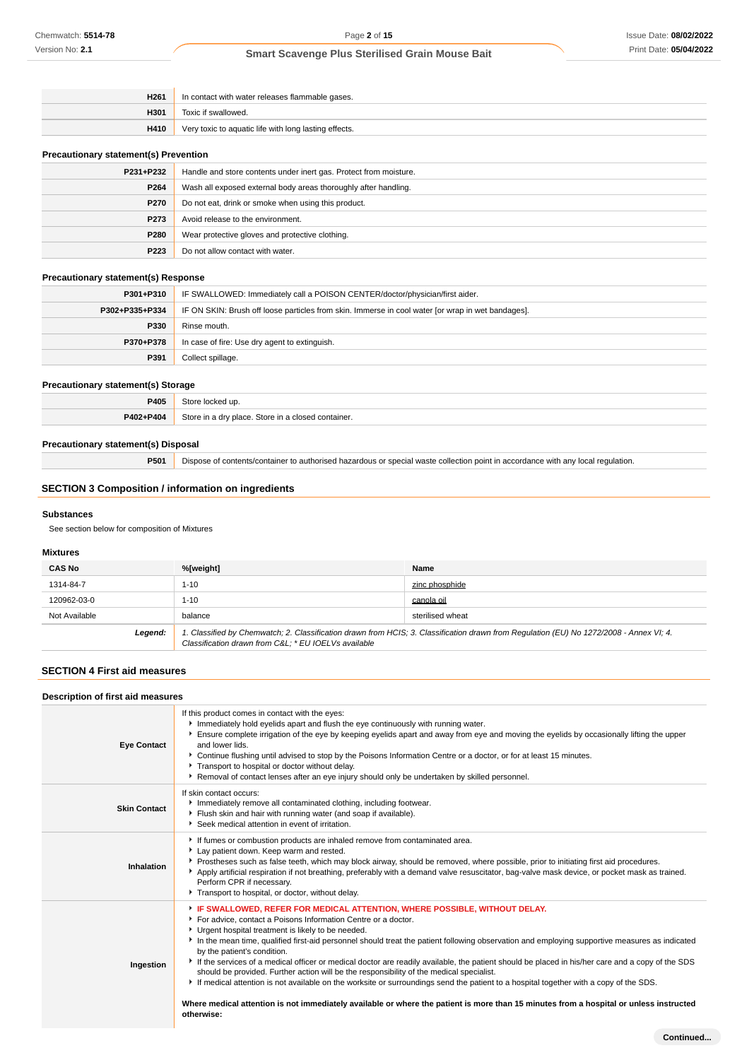| H <sub>261</sub> | In contact with water releases flammable gases.       |
|------------------|-------------------------------------------------------|
| H301             | Toxic if swallowed.                                   |
| H410             | Very toxic to aquatic life with long lasting effects. |
|                  |                                                       |

# **Precautionary statement(s) Prevention**

| P231+P232   | Handle and store contents under inert gas. Protect from moisture. |  |
|-------------|-------------------------------------------------------------------|--|
| P264        | Wash all exposed external body areas thoroughly after handling.   |  |
| <b>P270</b> | Do not eat, drink or smoke when using this product.               |  |
| P273        | Avoid release to the environment.                                 |  |
| P280        | Wear protective gloves and protective clothing.                   |  |
| P223        | Do not allow contact with water.                                  |  |

### **Precautionary statement(s) Response**

| P301+P310      | IF SWALLOWED: Immediately call a POISON CENTER/doctor/physician/first aider.                      |
|----------------|---------------------------------------------------------------------------------------------------|
| P302+P335+P334 | IF ON SKIN: Brush off loose particles from skin. Immerse in cool water for wrap in wet bandages]. |
| P330           | Rinse mouth.                                                                                      |
| P370+P378      | In case of fire: Use dry agent to extinguish.                                                     |
| P391           | Collect spillage.                                                                                 |

### **Precautionary statement(s) Storage**

| P405      | ۹t٢<br>cked un                                        |
|-----------|-------------------------------------------------------|
| P402+P404 | Store in a dry place. Store in a<br>closed container. |

### **Precautionary statement(s) Disposal**

**P501** Dispose of contents/container to authorised hazardous or special waste collection point in accordance with any local regulation.

# **SECTION 3 Composition / information on ingredients**

### **Substances**

See section below for composition of Mixtures

# **Mixtures**

| <b>CAS No</b> | %[weight]                                                                                                                                                                                      | Name           |  |  |
|---------------|------------------------------------------------------------------------------------------------------------------------------------------------------------------------------------------------|----------------|--|--|
| 1314-84-7     | 1-10                                                                                                                                                                                           | zinc phosphide |  |  |
| 120962-03-0   | 1-10                                                                                                                                                                                           | canola oil     |  |  |
| Not Available | balance<br>sterilised wheat                                                                                                                                                                    |                |  |  |
| Legend:       | 1. Classified by Chemwatch; 2. Classification drawn from HCIS; 3. Classification drawn from Regulation (EU) No 1272/2008 - Annex VI; 4.<br>Classification drawn from C&L * EU IOELVs available |                |  |  |

# **SECTION 4 First aid measures**

| Description of first aid measures |  |  |
|-----------------------------------|--|--|

| <b>Eye Contact</b>  | If this product comes in contact with the eyes:<br>Immediately hold eyelids apart and flush the eye continuously with running water.<br>Ensure complete irrigation of the eye by keeping eyelids apart and away from eye and moving the eyelids by occasionally lifting the upper<br>and lower lids.<br>▶ Continue flushing until advised to stop by the Poisons Information Centre or a doctor, or for at least 15 minutes.<br>Transport to hospital or doctor without delay.<br>▶ Removal of contact lenses after an eye injury should only be undertaken by skilled personnel.                                                                                                                                                                                                                                                                                                                                                 |
|---------------------|-----------------------------------------------------------------------------------------------------------------------------------------------------------------------------------------------------------------------------------------------------------------------------------------------------------------------------------------------------------------------------------------------------------------------------------------------------------------------------------------------------------------------------------------------------------------------------------------------------------------------------------------------------------------------------------------------------------------------------------------------------------------------------------------------------------------------------------------------------------------------------------------------------------------------------------|
| <b>Skin Contact</b> | If skin contact occurs:<br>Immediately remove all contaminated clothing, including footwear.<br>Flush skin and hair with running water (and soap if available).<br>Seek medical attention in event of irritation.                                                                                                                                                                                                                                                                                                                                                                                                                                                                                                                                                                                                                                                                                                                 |
| Inhalation          | If fumes or combustion products are inhaled remove from contaminated area.<br>Lay patient down. Keep warm and rested.<br>▶ Prostheses such as false teeth, which may block airway, should be removed, where possible, prior to initiating first aid procedures.<br>Apply artificial respiration if not breathing, preferably with a demand valve resuscitator, bag-valve mask device, or pocket mask as trained.<br>Perform CPR if necessary.<br>Transport to hospital, or doctor, without delay.                                                                                                                                                                                                                                                                                                                                                                                                                                 |
| Ingestion           | FIF SWALLOWED, REFER FOR MEDICAL ATTENTION, WHERE POSSIBLE, WITHOUT DELAY.<br>For advice, contact a Poisons Information Centre or a doctor.<br>Urgent hospital treatment is likely to be needed.<br>In the mean time, qualified first-aid personnel should treat the patient following observation and employing supportive measures as indicated<br>by the patient's condition.<br>If the services of a medical officer or medical doctor are readily available, the patient should be placed in his/her care and a copy of the SDS<br>should be provided. Further action will be the responsibility of the medical specialist.<br>If medical attention is not available on the worksite or surroundings send the patient to a hospital together with a copy of the SDS.<br>Where medical attention is not immediately available or where the patient is more than 15 minutes from a hospital or unless instructed<br>otherwise: |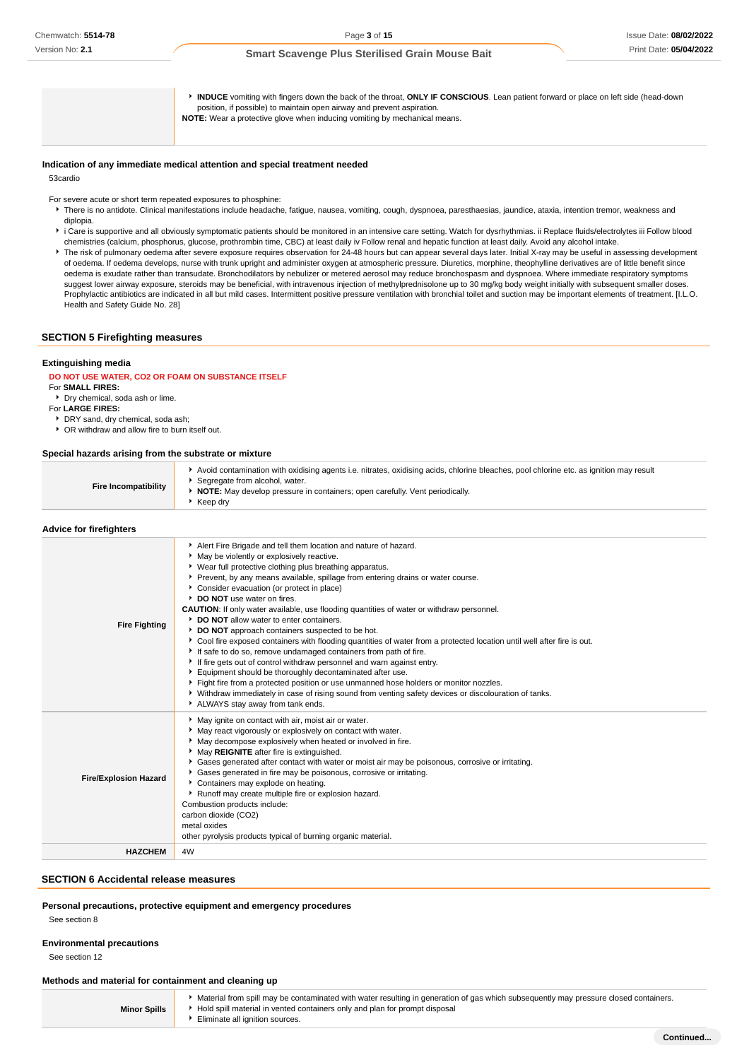| INDUCE vomiting with fingers down the back of the throat, ONLY IF CONSCIOUS. Lean patient forward or place on left side (head-down<br>position, if possible) to maintain open airway and prevent aspiration.<br><b>NOTE:</b> Wear a protective glove when inducing vomiting by mechanical means. |
|--------------------------------------------------------------------------------------------------------------------------------------------------------------------------------------------------------------------------------------------------------------------------------------------------|
|                                                                                                                                                                                                                                                                                                  |

#### **Indication of any immediate medical attention and special treatment needed**

53cardio

For severe acute or short term repeated exposures to phosphine:

- F There is no antidote. Clinical manifestations include headache, fatigue, nausea, vomiting, cough, dyspnoea, paresthaesias, jaundice, ataxia, intention tremor, weakness and diplopia.
- i Care is supportive and all obviously symptomatic patients should be monitored in an intensive care setting. Watch for dysrhythmias. ii Replace fluids/electrolytes iii Follow blood chemistries (calcium, phosphorus, glucose, prothrombin time, CBC) at least daily iv Follow renal and hepatic function at least daily. Avoid any alcohol intake.
- The risk of pulmonary oedema after severe exposure requires observation for 24-48 hours but can appear several days later. Initial X-ray may be useful in assessing development of oedema. If oedema develops, nurse with trunk upright and administer oxygen at atmospheric pressure. Diuretics, morphine, theophylline derivatives are of little benefit since oedema is exudate rather than transudate. Bronchodilators by nebulizer or metered aerosol may reduce bronchospasm and dyspnoea. Where immediate respiratory symptoms suggest lower airway exposure, steroids may be beneficial, with intravenous injection of methylprednisolone up to 30 mg/kg body weight initially with subsequent smaller doses. Prophylactic antibiotics are indicated in all but mild cases. Intermittent positive pressure ventilation with bronchial toilet and suction may be important elements of treatment. [I.L.O. Health and Safety Guide No. 28]

# **SECTION 5 Firefighting measures**

### **Extinguishing media**

# **DO NOT USE WATER, CO2 OR FOAM ON SUBSTANCE ITSELF**

- For **SMALL FIRES:** Dry chemical, soda ash or lime.
- For **LARGE FIRES:**
- 
- DRY sand, dry chemical, soda ash; OR withdraw and allow fire to burn itself out.

#### **Special hazards arising from the substrate or mixture**

| <b>Fire Incompatibility</b>    | Avoid contamination with oxidising agents i.e. nitrates, oxidising acids, chlorine bleaches, pool chlorine etc. as ignition may result<br>Segregate from alcohol, water.<br>• NOTE: May develop pressure in containers; open carefully. Vent periodically.<br>$\cdot$ Keep dry                                                                                                                                                                                                                                                                                                                                                                                                                                                                                                                                                                                                                                                                                                                                                                                                                                           |
|--------------------------------|--------------------------------------------------------------------------------------------------------------------------------------------------------------------------------------------------------------------------------------------------------------------------------------------------------------------------------------------------------------------------------------------------------------------------------------------------------------------------------------------------------------------------------------------------------------------------------------------------------------------------------------------------------------------------------------------------------------------------------------------------------------------------------------------------------------------------------------------------------------------------------------------------------------------------------------------------------------------------------------------------------------------------------------------------------------------------------------------------------------------------|
| <b>Advice for firefighters</b> |                                                                                                                                                                                                                                                                                                                                                                                                                                                                                                                                                                                                                                                                                                                                                                                                                                                                                                                                                                                                                                                                                                                          |
| <b>Fire Fighting</b>           | Alert Fire Brigade and tell them location and nature of hazard.<br>• May be violently or explosively reactive.<br>• Wear full protective clothing plus breathing apparatus.<br>Prevent, by any means available, spillage from entering drains or water course.<br>Consider evacuation (or protect in place)<br>DO NOT use water on fires.<br><b>CAUTION:</b> If only water available, use flooding quantities of water or withdraw personnel.<br>DO NOT allow water to enter containers.<br>DO NOT approach containers suspected to be hot.<br>▶ Cool fire exposed containers with flooding quantities of water from a protected location until well after fire is out.<br>If safe to do so, remove undamaged containers from path of fire.<br>If fire gets out of control withdraw personnel and warn against entry.<br>Equipment should be thoroughly decontaminated after use.<br>Fight fire from a protected position or use unmanned hose holders or monitor nozzles.<br>▶ Withdraw immediately in case of rising sound from venting safety devices or discolouration of tanks.<br>ALWAYS stay away from tank ends. |
| <b>Fire/Explosion Hazard</b>   | May ignite on contact with air, moist air or water.<br>• May react vigorously or explosively on contact with water.<br>May decompose explosively when heated or involved in fire.<br>May REIGNITE after fire is extinguished.<br>Gases generated after contact with water or moist air may be poisonous, corrosive or irritating.<br>Gases generated in fire may be poisonous, corrosive or irritating.<br>Containers may explode on heating.<br>Runoff may create multiple fire or explosion hazard.<br>Combustion products include:<br>carbon dioxide (CO2)<br>metal oxides<br>other pyrolysis products typical of burning organic material.                                                                                                                                                                                                                                                                                                                                                                                                                                                                           |
| <b>HAZCHEM</b>                 | 4W                                                                                                                                                                                                                                                                                                                                                                                                                                                                                                                                                                                                                                                                                                                                                                                                                                                                                                                                                                                                                                                                                                                       |
|                                |                                                                                                                                                                                                                                                                                                                                                                                                                                                                                                                                                                                                                                                                                                                                                                                                                                                                                                                                                                                                                                                                                                                          |

## **SECTION 6 Accidental release measures**

#### **Personal precautions, protective equipment and emergency procedures**

See section 8

### **Environmental precautions**

See section 12

### **Methods and material for containment and cleaning up**

**Minor Spills** Material from spill may be contaminated with water resulting in generation of gas which subsequently may pressure closed containers. Hold spill material in vented containers only and plan for prompt disposal Eliminate all ignition sources.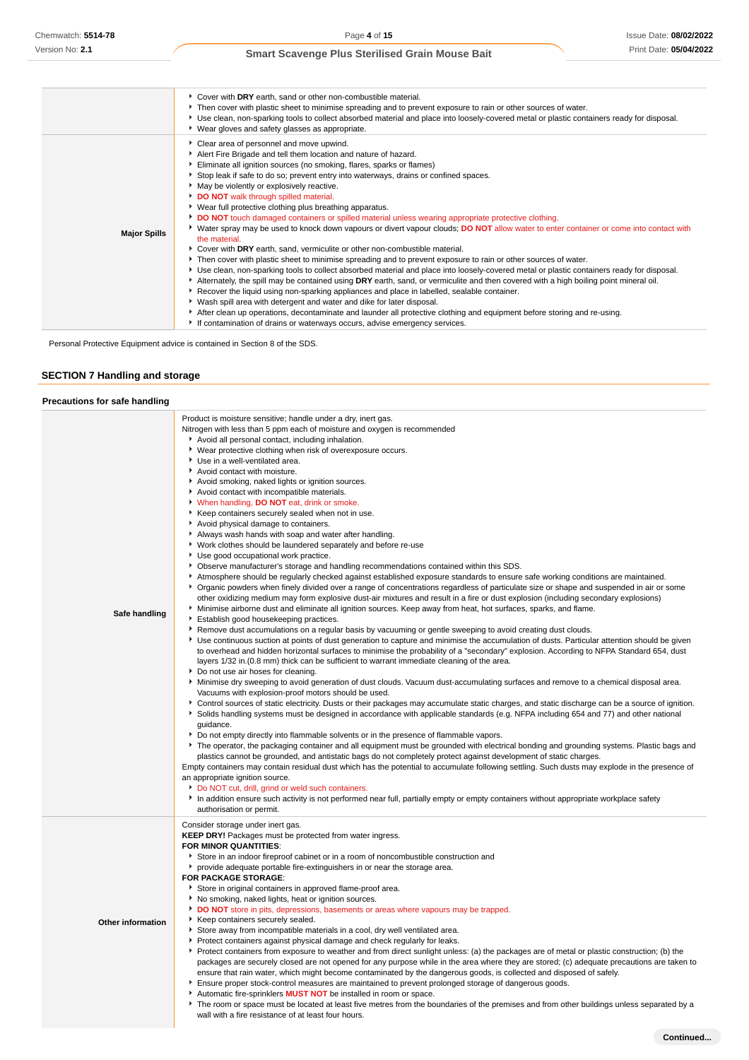|                     | Cover with DRY earth, sand or other non-combustible material.<br>▶ Then cover with plastic sheet to minimise spreading and to prevent exposure to rain or other sources of water.<br>> Use clean, non-sparking tools to collect absorbed material and place into loosely-covered metal or plastic containers ready for disposal.<br>▶ Wear gloves and safety glasses as appropriate.                                                                                                                                                                                                                                                                                                                                                                                                                                                                                                                                                                                                                                                                                                                                                                                                                                                                                                                                                                                                                                                                                                                                                                                               |
|---------------------|------------------------------------------------------------------------------------------------------------------------------------------------------------------------------------------------------------------------------------------------------------------------------------------------------------------------------------------------------------------------------------------------------------------------------------------------------------------------------------------------------------------------------------------------------------------------------------------------------------------------------------------------------------------------------------------------------------------------------------------------------------------------------------------------------------------------------------------------------------------------------------------------------------------------------------------------------------------------------------------------------------------------------------------------------------------------------------------------------------------------------------------------------------------------------------------------------------------------------------------------------------------------------------------------------------------------------------------------------------------------------------------------------------------------------------------------------------------------------------------------------------------------------------------------------------------------------------|
| <b>Major Spills</b> | Clear area of personnel and move upwind.<br>Alert Fire Brigade and tell them location and nature of hazard.<br>Eliminate all ignition sources (no smoking, flares, sparks or flames)<br>Stop leak if safe to do so; prevent entry into waterways, drains or confined spaces.<br>• May be violently or explosively reactive.<br>DO NOT walk through spilled material.<br>▶ Wear full protective clothing plus breathing apparatus.<br>DO NOT touch damaged containers or spilled material unless wearing appropriate protective clothing.<br>▶ Water spray may be used to knock down vapours or divert vapour clouds; DO NOT allow water to enter container or come into contact with<br>the material.<br>Cover with DRY earth, sand, vermiculite or other non-combustible material.<br>▶ Then cover with plastic sheet to minimise spreading and to prevent exposure to rain or other sources of water.<br>▶ Use clean, non-sparking tools to collect absorbed material and place into loosely-covered metal or plastic containers ready for disposal.<br>Alternately, the spill may be contained using DRY earth, sand, or vermiculite and then covered with a high boiling point mineral oil.<br>Recover the liquid using non-sparking appliances and place in labelled, sealable container.<br>▶ Wash spill area with detergent and water and dike for later disposal.<br>After clean up operations, decontaminate and launder all protective clothing and equipment before storing and re-using.<br>If contamination of drains or waterways occurs, advise emergency services. |

Personal Protective Equipment advice is contained in Section 8 of the SDS.

# **SECTION 7 Handling and storage**

### **Precautions for safe handling**

| Safe handling     | Product is moisture sensitive; handle under a dry, inert gas.<br>Nitrogen with less than 5 ppm each of moisture and oxygen is recommended<br>Avoid all personal contact, including inhalation.<br>▶ Wear protective clothing when risk of overexposure occurs.<br>Use in a well-ventilated area.<br>Avoid contact with moisture.<br>Avoid smoking, naked lights or ignition sources.<br>Avoid contact with incompatible materials.<br>V When handling, DO NOT eat, drink or smoke.<br>▶ Keep containers securely sealed when not in use.<br>Avoid physical damage to containers.<br>Always wash hands with soap and water after handling.<br>▶ Work clothes should be laundered separately and before re-use<br>Use good occupational work practice.<br>▶ Observe manufacturer's storage and handling recommendations contained within this SDS.<br>Atmosphere should be regularly checked against established exposure standards to ensure safe working conditions are maintained.<br>▶ Organic powders when finely divided over a range of concentrations regardless of particulate size or shape and suspended in air or some<br>other oxidizing medium may form explosive dust-air mixtures and result in a fire or dust explosion (including secondary explosions)<br>Minimise airborne dust and eliminate all ignition sources. Keep away from heat, hot surfaces, sparks, and flame.<br>Establish good housekeeping practices.<br>▶ Remove dust accumulations on a regular basis by vacuuming or gentle sweeping to avoid creating dust clouds.<br>▶ Use continuous suction at points of dust generation to capture and minimise the accumulation of dusts. Particular attention should be given<br>to overhead and hidden horizontal surfaces to minimise the probability of a "secondary" explosion. According to NFPA Standard 654, dust<br>layers 1/32 in. (0.8 mm) thick can be sufficient to warrant immediate cleaning of the area.<br>Do not use air hoses for cleaning.<br>▶ Minimise dry sweeping to avoid generation of dust clouds. Vacuum dust-accumulating surfaces and remove to a chemical disposal area.<br>Vacuums with explosion-proof motors should be used.<br>> Control sources of static electricity. Dusts or their packages may accumulate static charges, and static discharge can be a source of ignition.<br>Solids handling systems must be designed in accordance with applicable standards (e.g. NFPA including 654 and 77) and other national<br>quidance.<br>▶ Do not empty directly into flammable solvents or in the presence of flammable vapors.<br>The operator, the packaging container and all equipment must be grounded with electrical bonding and grounding systems. Plastic bags and<br>plastics cannot be grounded, and antistatic bags do not completely protect against development of static charges.<br>Empty containers may contain residual dust which has the potential to accumulate following settling. Such dusts may explode in the presence of<br>an appropriate ignition source.<br>Do NOT cut, drill, grind or weld such containers.<br>In addition ensure such activity is not performed near full, partially empty or empty containers without appropriate workplace safety<br>authorisation or permit. |
|-------------------|------------------------------------------------------------------------------------------------------------------------------------------------------------------------------------------------------------------------------------------------------------------------------------------------------------------------------------------------------------------------------------------------------------------------------------------------------------------------------------------------------------------------------------------------------------------------------------------------------------------------------------------------------------------------------------------------------------------------------------------------------------------------------------------------------------------------------------------------------------------------------------------------------------------------------------------------------------------------------------------------------------------------------------------------------------------------------------------------------------------------------------------------------------------------------------------------------------------------------------------------------------------------------------------------------------------------------------------------------------------------------------------------------------------------------------------------------------------------------------------------------------------------------------------------------------------------------------------------------------------------------------------------------------------------------------------------------------------------------------------------------------------------------------------------------------------------------------------------------------------------------------------------------------------------------------------------------------------------------------------------------------------------------------------------------------------------------------------------------------------------------------------------------------------------------------------------------------------------------------------------------------------------------------------------------------------------------------------------------------------------------------------------------------------------------------------------------------------------------------------------------------------------------------------------------------------------------------------------------------------------------------------------------------------------------------------------------------------------------------------------------------------------------------------------------------------------------------------------------------------------------------------------------------------------------------------------------------------------------------------------------------------------------------------------------------------------------------------------------------------------------------------------------------------------------------------------------------------------------------------------------------------------------|
| Other information | Consider storage under inert gas.<br><b>KEEP DRY!</b> Packages must be protected from water ingress.<br>FOR MINOR QUANTITIES:<br>► Store in an indoor fireproof cabinet or in a room of noncombustible construction and<br>• provide adequate portable fire-extinguishers in or near the storage area.<br>FOR PACKAGE STORAGE:<br>Store in original containers in approved flame-proof area.<br>No smoking, naked lights, heat or ignition sources.<br>DO NOT store in pits, depressions, basements or areas where vapours may be trapped.<br>Keep containers securely sealed.<br>Store away from incompatible materials in a cool, dry well ventilated area.<br>Protect containers against physical damage and check regularly for leaks.<br>▶ Protect containers from exposure to weather and from direct sunlight unless: (a) the packages are of metal or plastic construction; (b) the<br>packages are securely closed are not opened for any purpose while in the area where they are stored; (c) adequate precautions are taken to<br>ensure that rain water, which might become contaminated by the dangerous goods, is collected and disposed of safely.<br>Ensure proper stock-control measures are maintained to prevent prolonged storage of dangerous goods.<br>Automatic fire-sprinklers <b>MUST NOT</b> be installed in room or space.<br>The room or space must be located at least five metres from the boundaries of the premises and from other buildings unless separated by a<br>wall with a fire resistance of at least four hours.                                                                                                                                                                                                                                                                                                                                                                                                                                                                                                                                                                                                                                                                                                                                                                                                                                                                                                                                                                                                                                                                                                                                                                                                                                                                                                                                                                                                                                                                                                                                                                                                                                                                                                                    |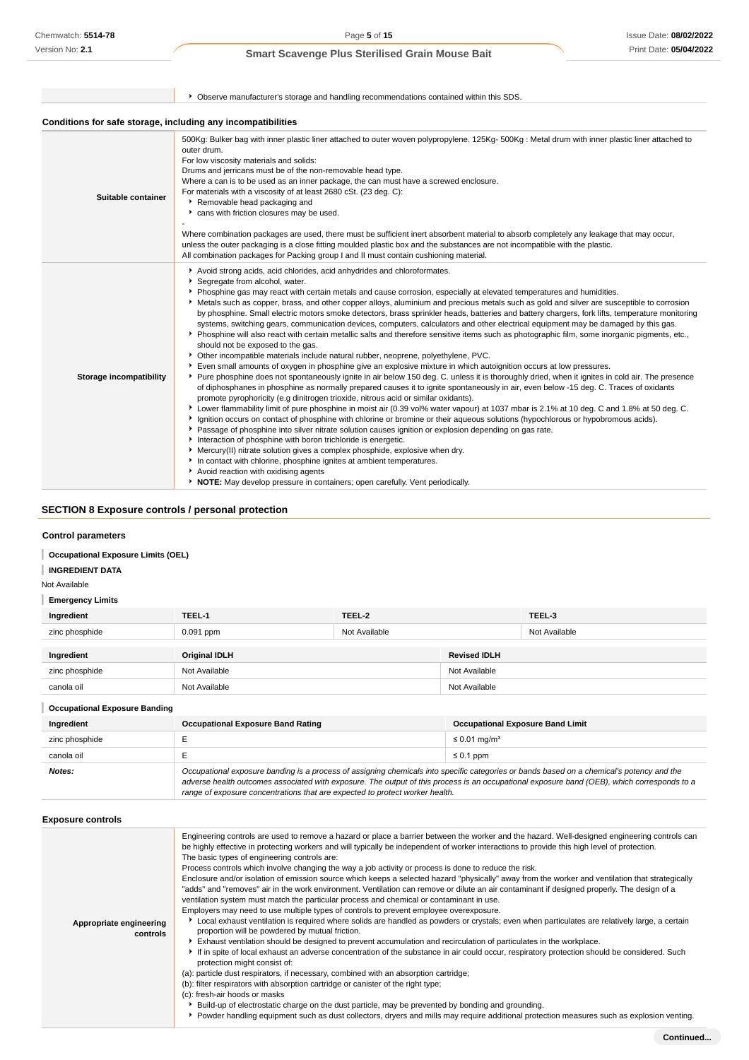Version No: **2.1**

Page **5** of **15**

# **Smart Scavenge Plus Sterilised Grain Mouse Bait**

|                                                              | ▶ Observe manufacturer's storage and handling recommendations contained within this SDS.                                                                                                                                                                                                                                                                                                                                                                                                                                                                                                                                                                                                                                                                                                                                                                                                                                                                                                                                                                                                                                                                                                                                                                                                                                                                                                                                                                                                                                                                                                                                                                                                                                                                                                                                                                                                                                                                                                                                                                                                                                                                                                                             |
|--------------------------------------------------------------|----------------------------------------------------------------------------------------------------------------------------------------------------------------------------------------------------------------------------------------------------------------------------------------------------------------------------------------------------------------------------------------------------------------------------------------------------------------------------------------------------------------------------------------------------------------------------------------------------------------------------------------------------------------------------------------------------------------------------------------------------------------------------------------------------------------------------------------------------------------------------------------------------------------------------------------------------------------------------------------------------------------------------------------------------------------------------------------------------------------------------------------------------------------------------------------------------------------------------------------------------------------------------------------------------------------------------------------------------------------------------------------------------------------------------------------------------------------------------------------------------------------------------------------------------------------------------------------------------------------------------------------------------------------------------------------------------------------------------------------------------------------------------------------------------------------------------------------------------------------------------------------------------------------------------------------------------------------------------------------------------------------------------------------------------------------------------------------------------------------------------------------------------------------------------------------------------------------------|
| Conditions for safe storage, including any incompatibilities |                                                                                                                                                                                                                                                                                                                                                                                                                                                                                                                                                                                                                                                                                                                                                                                                                                                                                                                                                                                                                                                                                                                                                                                                                                                                                                                                                                                                                                                                                                                                                                                                                                                                                                                                                                                                                                                                                                                                                                                                                                                                                                                                                                                                                      |
| Suitable container                                           | 500Kg: Bulker bag with inner plastic liner attached to outer woven polypropylene. 125Kg- 500Kg: Metal drum with inner plastic liner attached to<br>outer drum.<br>For low viscosity materials and solids:<br>Drums and jerricans must be of the non-removable head type.<br>Where a can is to be used as an inner package, the can must have a screwed enclosure.<br>For materials with a viscosity of at least 2680 cSt. (23 deg. C):<br>▶ Removable head packaging and<br>cans with friction closures may be used.<br>Where combination packages are used, there must be sufficient inert absorbent material to absorb completely any leakage that may occur,<br>unless the outer packaging is a close fitting moulded plastic box and the substances are not incompatible with the plastic.<br>All combination packages for Packing group I and II must contain cushioning material.                                                                                                                                                                                                                                                                                                                                                                                                                                                                                                                                                                                                                                                                                                                                                                                                                                                                                                                                                                                                                                                                                                                                                                                                                                                                                                                              |
| <b>Storage incompatibility</b>                               | Avoid strong acids, acid chlorides, acid anhydrides and chloroformates.<br>Segregate from alcohol, water.<br>▶ Phosphine gas may react with certain metals and cause corrosion, especially at elevated temperatures and humidities.<br>Metals such as copper, brass, and other copper alloys, aluminium and precious metals such as gold and silver are susceptible to corrosion<br>by phosphine. Small electric motors smoke detectors, brass sprinkler heads, batteries and battery chargers, fork lifts, temperature monitoring<br>systems, switching gears, communication devices, computers, calculators and other electrical equipment may be damaged by this gas.<br>> Phosphine will also react with certain metallic salts and therefore sensitive items such as photographic film, some inorganic pigments, etc.,<br>should not be exposed to the gas.<br>▶ Other incompatible materials include natural rubber, neoprene, polyethylene, PVC.<br>Even small amounts of oxygen in phosphine give an explosive mixture in which autoignition occurs at low pressures.<br>> Pure phosphine does not spontaneously ignite in air below 150 deg. C. unless it is thoroughly dried, when it ignites in cold air. The presence<br>of diphosphanes in phosphine as normally prepared causes it to ignite spontaneously in air, even below -15 deg. C. Traces of oxidants<br>promote pyrophoricity (e.g dinitrogen trioxide, nitrous acid or similar oxidants).<br>▶ Lower flammability limit of pure phosphine in moist air (0.39 vol% water vapour) at 1037 mbar is 2.1% at 10 deg. C and 1.8% at 50 deg. C.<br>▶ Ignition occurs on contact of phosphine with chlorine or bromine or their aqueous solutions (hypochlorous or hypobromous acids).<br>▶ Passage of phosphine into silver nitrate solution causes ignition or explosion depending on gas rate.<br>Interaction of phosphine with boron trichloride is energetic.<br>• Mercury(II) nitrate solution gives a complex phosphide, explosive when dry.<br>In contact with chlorine, phosphine ignites at ambient temperatures.<br>Avoid reaction with oxidising agents<br>• NOTE: May develop pressure in containers; open carefully. Vent periodically. |

# **SECTION 8 Exposure controls / personal protection**

# **Control parameters**

**Occupational Exposure Limits (OEL)**

**INGREDIENT DATA**

Not Available

# **Emergency Limits**

| Ingredient     | TEEL-1               | TEEL-2        |                     | TEEL-3        |
|----------------|----------------------|---------------|---------------------|---------------|
| zinc phosphide | $0.091$ ppm          | Not Available |                     | Not Available |
|                |                      |               |                     |               |
| Ingredient     | <b>Original IDLH</b> |               | <b>Revised IDLH</b> |               |
| zinc phosphide | Not Available        |               | Not Available       |               |
| canola oil     | Not Available        |               | Not Available       |               |

| <b>Occupational Exposure Banding</b> |                                                                                                                                                                                                                                                                                                                                                                          |                                         |
|--------------------------------------|--------------------------------------------------------------------------------------------------------------------------------------------------------------------------------------------------------------------------------------------------------------------------------------------------------------------------------------------------------------------------|-----------------------------------------|
| Ingredient                           | <b>Occupational Exposure Band Rating</b>                                                                                                                                                                                                                                                                                                                                 | <b>Occupational Exposure Band Limit</b> |
| zinc phosphide                       |                                                                                                                                                                                                                                                                                                                                                                          | ≤ 0.01 mg/m <sup>3</sup>                |
| canola oil                           |                                                                                                                                                                                                                                                                                                                                                                          | $\leq 0.1$ ppm                          |
| Notes:                               | Occupational exposure banding is a process of assigning chemicals into specific categories or bands based on a chemical's potency and the<br>adverse health outcomes associated with exposure. The output of this process is an occupational exposure band (OEB), which corresponds to a<br>range of exposure concentrations that are expected to protect worker health. |                                         |

# **Exposure controls**

| Appropriate engineering<br>controls | Engineering controls are used to remove a hazard or place a barrier between the worker and the hazard. Well-designed engineering controls can<br>be highly effective in protecting workers and will typically be independent of worker interactions to provide this high level of protection.<br>The basic types of engineering controls are:<br>Process controls which involve changing the way a job activity or process is done to reduce the risk.<br>Enclosure and/or isolation of emission source which keeps a selected hazard "physically" away from the worker and ventilation that strategically<br>"adds" and "removes" air in the work environment. Ventilation can remove or dilute an air contaminant if designed properly. The design of a<br>ventilation system must match the particular process and chemical or contaminant in use.<br>Employers may need to use multiple types of controls to prevent employee overexposure.<br>Local exhaust ventilation is required where solids are handled as powders or crystals; even when particulates are relatively large, a certain<br>proportion will be powdered by mutual friction.<br>Exhaust ventilation should be designed to prevent accumulation and recirculation of particulates in the workplace.<br>If in spite of local exhaust an adverse concentration of the substance in air could occur, respiratory protection should be considered. Such<br>protection might consist of:<br>(a): particle dust respirators, if necessary, combined with an absorption cartridge;<br>(b): filter respirators with absorption cartridge or canister of the right type;<br>(c): fresh-air hoods or masks<br>Build-up of electrostatic charge on the dust particle, may be prevented by bonding and grounding.<br>▶ Powder handling equipment such as dust collectors, dryers and mills may require additional protection measures such as explosion venting. |
|-------------------------------------|----------------------------------------------------------------------------------------------------------------------------------------------------------------------------------------------------------------------------------------------------------------------------------------------------------------------------------------------------------------------------------------------------------------------------------------------------------------------------------------------------------------------------------------------------------------------------------------------------------------------------------------------------------------------------------------------------------------------------------------------------------------------------------------------------------------------------------------------------------------------------------------------------------------------------------------------------------------------------------------------------------------------------------------------------------------------------------------------------------------------------------------------------------------------------------------------------------------------------------------------------------------------------------------------------------------------------------------------------------------------------------------------------------------------------------------------------------------------------------------------------------------------------------------------------------------------------------------------------------------------------------------------------------------------------------------------------------------------------------------------------------------------------------------------------------------------------------------------------------------------------------------------------------------------------|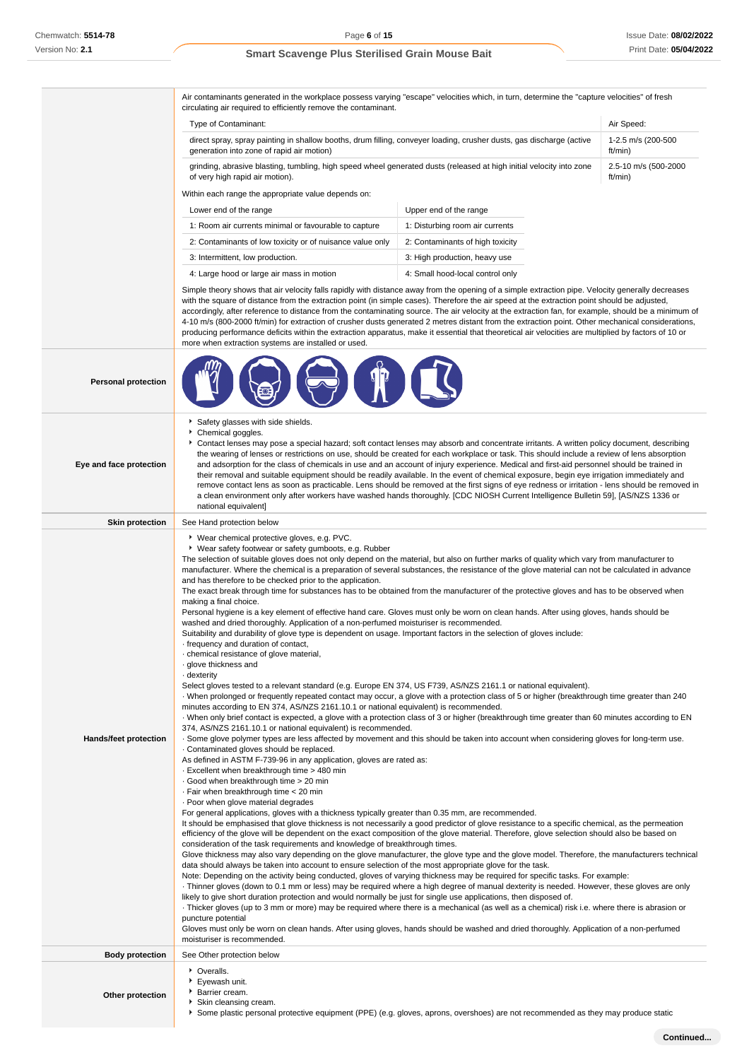Air contaminants generated in the workplace possess varying "escape" velocities which, in turn, determine the "capture velocities" of fresh

circulating air required to efficiently remove the contaminant. Type of Contaminant: Air Speed: Air Speed: Air Speed: Air Speed: Air Speed: Air Speed: Air Speed: Air Speed: Air Speed: Air Speed: Air Speed: Air Speed: Air Speed: Air Speed: Air Speed: Air Speed: Air Speed: Air Speed: Air direct spray, spray painting in shallow booths, drum filling, conveyer loading, crusher dusts, gas discharge (active generation into zone of rapid air motion) 1-2.5 m/s (200-500 ft/min) grinding, abrasive blasting, tumbling, high speed wheel generated dusts (released at high initial velocity into zone of very high rapid air motion). 2.5-10 m/s (500-2000 ft/min) Within each range the appropriate value depends on: Lower end of the range Upper end of the range 1: Room air currents minimal or favourable to capture 1: Disturbing room air currents 2: Contaminants of low toxicity or of nuisance value only 2: Contaminants of high toxicity 3: Intermittent, low production. 3: High production, heavy use 4: Large hood or large air mass in motion 4: Small hood-local control only Simple theory shows that air velocity falls rapidly with distance away from the opening of a simple extraction pipe. Velocity generally decreases with the square of distance from the extraction point (in simple cases). Therefore the air speed at the extraction point should be adjusted, accordingly, after reference to distance from the contaminating source. The air velocity at the extraction fan, for example, should be a minimum of 4-10 m/s (800-2000 ft/min) for extraction of crusher dusts generated 2 metres distant from the extraction point. Other mechanical considerations, producing performance deficits within the extraction apparatus, make it essential that theoretical air velocities are multiplied by factors of 10 or more when extraction systems are installed or used. **Personal protection Eye and face protection** Safety glasses with side shields. Chemical goggles. Contact lenses may pose a special hazard; soft contact lenses may absorb and concentrate irritants. A written policy document, describing the wearing of lenses or restrictions on use, should be created for each workplace or task. This should include a review of lens absorption and adsorption for the class of chemicals in use and an account of injury experience. Medical and first-aid personnel should be trained in their removal and suitable equipment should be readily available. In the event of chemical exposure, begin eye irrigation immediately and remove contact lens as soon as practicable. Lens should be removed at the first signs of eye redness or irritation - lens should be removed in a clean environment only after workers have washed hands thoroughly. [CDC NIOSH Current Intelligence Bulletin 59], [AS/NZS 1336 or national equivalent] **Skin protection** See Hand protection below **Hands/feet protection** Wear chemical protective gloves, e.g. PVC. Wear safety footwear or safety gumboots, e.g. Rubber The selection of suitable gloves does not only depend on the material, but also on further marks of quality which vary from manufacturer to manufacturer. Where the chemical is a preparation of several substances, the resistance of the glove material can not be calculated in advance and has therefore to be checked prior to the application. The exact break through time for substances has to be obtained from the manufacturer of the protective gloves and has to be observed when making a final choice. Personal hygiene is a key element of effective hand care. Gloves must only be worn on clean hands. After using gloves, hands should be washed and dried thoroughly. Application of a non-perfumed moisturiser is recommended. Suitability and durability of glove type is dependent on usage. Important factors in the selection of gloves include: · frequency and duration of contact, · chemical resistance of glove material, · glove thickness and · dexterity Select gloves tested to a relevant standard (e.g. Europe EN 374, US F739, AS/NZS 2161.1 or national equivalent). · When prolonged or frequently repeated contact may occur, a glove with a protection class of 5 or higher (breakthrough time greater than 240 minutes according to EN 374, AS/NZS 2161.10.1 or national equivalent) is recommended. · When only brief contact is expected, a glove with a protection class of 3 or higher (breakthrough time greater than 60 minutes according to EN 374, AS/NZS 2161.10.1 or national equivalent) is recommended. · Some glove polymer types are less affected by movement and this should be taken into account when considering gloves for long-term use. · Contaminated gloves should be replaced. As defined in ASTM F-739-96 in any application, gloves are rated as: · Excellent when breakthrough time > 480 min · Good when breakthrough time > 20 min · Fair when breakthrough time < 20 min · Poor when glove material degrades For general applications, gloves with a thickness typically greater than 0.35 mm, are recommended. It should be emphasised that glove thickness is not necessarily a good predictor of glove resistance to a specific chemical, as the permeation efficiency of the glove will be dependent on the exact composition of the glove material. Therefore, glove selection should also be based on consideration of the task requirements and knowledge of breakthrough times. Glove thickness may also vary depending on the glove manufacturer, the glove type and the glove model. Therefore, the manufacturers technical data should always be taken into account to ensure selection of the most appropriate glove for the task. Note: Depending on the activity being conducted, gloves of varying thickness may be required for specific tasks. For example: · Thinner gloves (down to 0.1 mm or less) may be required where a high degree of manual dexterity is needed. However, these gloves are only likely to give short duration protection and would normally be just for single use applications, then disposed of. · Thicker gloves (up to 3 mm or more) may be required where there is a mechanical (as well as a chemical) risk i.e. where there is abrasion or puncture potential

## **Body protection** See Other protection below • Overalls Eyewash unit.

- **Other protection Barrier cream.** 
	- Skin cleansing cream.
		- Some plastic personal protective equipment (PPE) (e.g. gloves, aprons, overshoes) are not recommended as they may produce static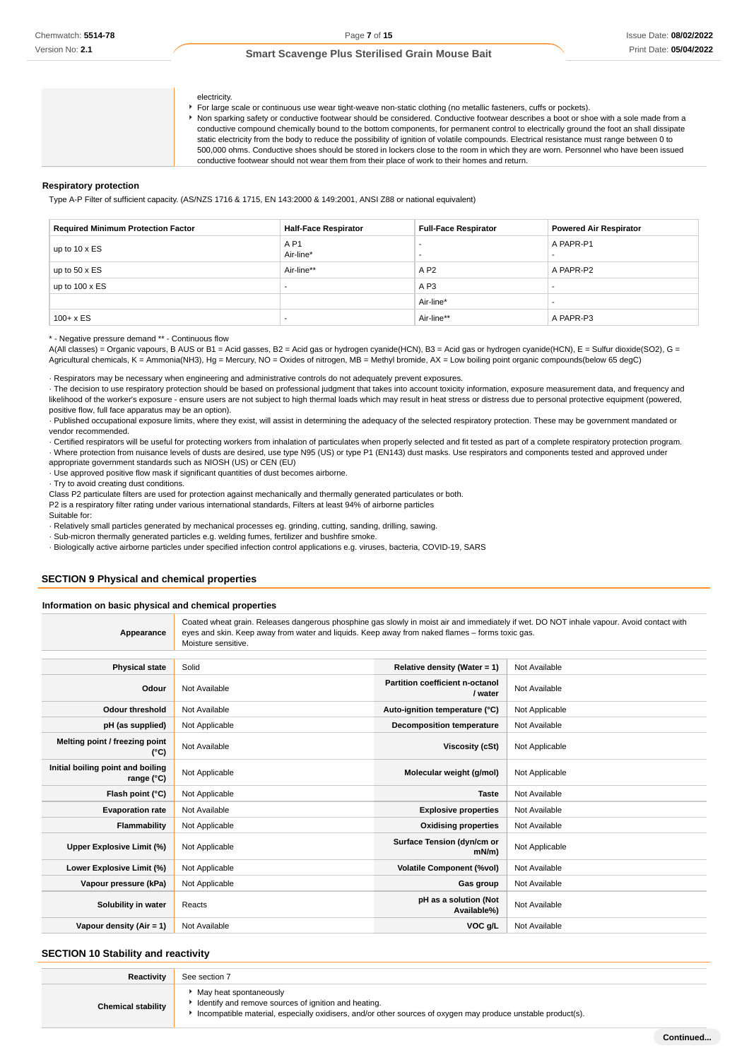#### electricity.

For large scale or continuous use wear tight-weave non-static clothing (no metallic fasteners, cuffs or pockets).

Non sparking safety or conductive footwear should be considered. Conductive footwear describes a boot or shoe with a sole made from a conductive compound chemically bound to the bottom components, for permanent control to electrically ground the foot an shall dissipate static electricity from the body to reduce the possibility of ignition of volatile compounds. Electrical resistance must range between 0 to 500,000 ohms. Conductive shoes should be stored in lockers close to the room in which they are worn. Personnel who have been issued conductive footwear should not wear them from their place of work to their homes and return.

#### **Respiratory protection**

Type A-P Filter of sufficient capacity. (AS/NZS 1716 & 1715, EN 143:2000 & 149:2001, ANSI Z88 or national equivalent)

| <b>Required Minimum Protection Factor</b> | <b>Half-Face Respirator</b>  | <b>Full-Face Respirator</b> | <b>Powered Air Respirator</b> |
|-------------------------------------------|------------------------------|-----------------------------|-------------------------------|
| up to $10 \times ES$                      | A <sub>P1</sub><br>Air-line* | -<br>-                      | A PAPR-P1                     |
| up to $50 \times ES$                      | Air-line**                   | A P <sub>2</sub>            | A PAPR-P2                     |
| up to $100 \times ES$                     |                              | A P <sub>3</sub>            |                               |
|                                           |                              | Air-line*                   |                               |
| $100 + x ES$                              |                              | Air-line**                  | A PAPR-P3                     |

\* - Negative pressure demand \*\* - Continuous flow

A(All classes) = Organic vapours, B AUS or B1 = Acid gasses, B2 = Acid gas or hydrogen cyanide(HCN), B3 = Acid gas or hydrogen cyanide(HCN), E = Sulfur dioxide(SO2), G = Agricultural chemicals, K = Ammonia(NH3), Hg = Mercury, NO = Oxides of nitrogen, MB = Methyl bromide, AX = Low boiling point organic compounds(below 65 degC)

· Respirators may be necessary when engineering and administrative controls do not adequately prevent exposures.

· The decision to use respiratory protection should be based on professional judgment that takes into account toxicity information, exposure measurement data, and frequency and likelihood of the worker's exposure - ensure users are not subject to high thermal loads which may result in heat stress or distress due to personal protective equipment (powered, positive flow, full face apparatus may be an option).

· Published occupational exposure limits, where they exist, will assist in determining the adequacy of the selected respiratory protection. These may be government mandated or vendor recommended.

· Certified respirators will be useful for protecting workers from inhalation of particulates when properly selected and fit tested as part of a complete respiratory protection program. · Where protection from nuisance levels of dusts are desired, use type N95 (US) or type P1 (EN143) dust masks. Use respirators and components tested and approved under appropriate government standards such as NIOSH (US) or CEN (EU)

· Use approved positive flow mask if significant quantities of dust becomes airborne.

· Try to avoid creating dust conditions.

Class P2 particulate filters are used for protection against mechanically and thermally generated particulates or both.

P2 is a respiratory filter rating under various international standards, Filters at least 94% of airborne particles Suitable for:

· Relatively small particles generated by mechanical processes eg. grinding, cutting, sanding, drilling, sawing.

· Sub-micron thermally generated particles e.g. welding fumes, fertilizer and bushfire smoke.

· Biologically active airborne particles under specified infection control applications e.g. viruses, bacteria, COVID-19, SARS

### **SECTION 9 Physical and chemical properties**

#### **Information on basic physical and chemical properties**

**Appearance** Coated wheat grain. Releases dangerous phosphine gas slowly in moist air and immediately if wet. DO NOT inhale vapour. Avoid contact with eyes and skin. Keep away from water and liquids. Keep away from naked flames – forms toxic gas. Moisture sensitive.

| <b>Physical state</b>                                    | Solid          | Relative density (Water = $1$ )            | Not Available  |
|----------------------------------------------------------|----------------|--------------------------------------------|----------------|
| Odour                                                    | Not Available  | Partition coefficient n-octanol<br>/ water | Not Available  |
| <b>Odour threshold</b>                                   | Not Available  | Auto-ignition temperature (°C)             | Not Applicable |
| pH (as supplied)                                         | Not Applicable | Decomposition temperature                  | Not Available  |
| Melting point / freezing point<br>(°C)                   | Not Available  | Viscosity (cSt)                            | Not Applicable |
| Initial boiling point and boiling<br>range $(^{\circ}C)$ | Not Applicable | Molecular weight (g/mol)                   | Not Applicable |
| Flash point (°C)                                         | Not Applicable | <b>Taste</b>                               | Not Available  |
| <b>Evaporation rate</b>                                  | Not Available  | <b>Explosive properties</b>                | Not Available  |
| Flammability                                             | Not Applicable | <b>Oxidising properties</b>                | Not Available  |
| Upper Explosive Limit (%)                                | Not Applicable | Surface Tension (dyn/cm or<br>mN/m         | Not Applicable |
| Lower Explosive Limit (%)                                | Not Applicable | <b>Volatile Component (%vol)</b>           | Not Available  |
| Vapour pressure (kPa)                                    | Not Applicable | Gas group                                  | Not Available  |
| Solubility in water                                      | Reacts         | pH as a solution (Not<br>Available%)       | Not Available  |
| Vapour density (Air = 1)                                 | Not Available  | VOC g/L                                    | Not Available  |

### **SECTION 10 Stability and reactivity**

| Reactivity                | See section 7                                                                                                                                                                                       |
|---------------------------|-----------------------------------------------------------------------------------------------------------------------------------------------------------------------------------------------------|
| <b>Chemical stability</b> | • May heat spontaneously<br>In Identify and remove sources of ignition and heating.<br>Incompatible material, especially oxidisers, and/or other sources of oxygen may produce unstable product(s). |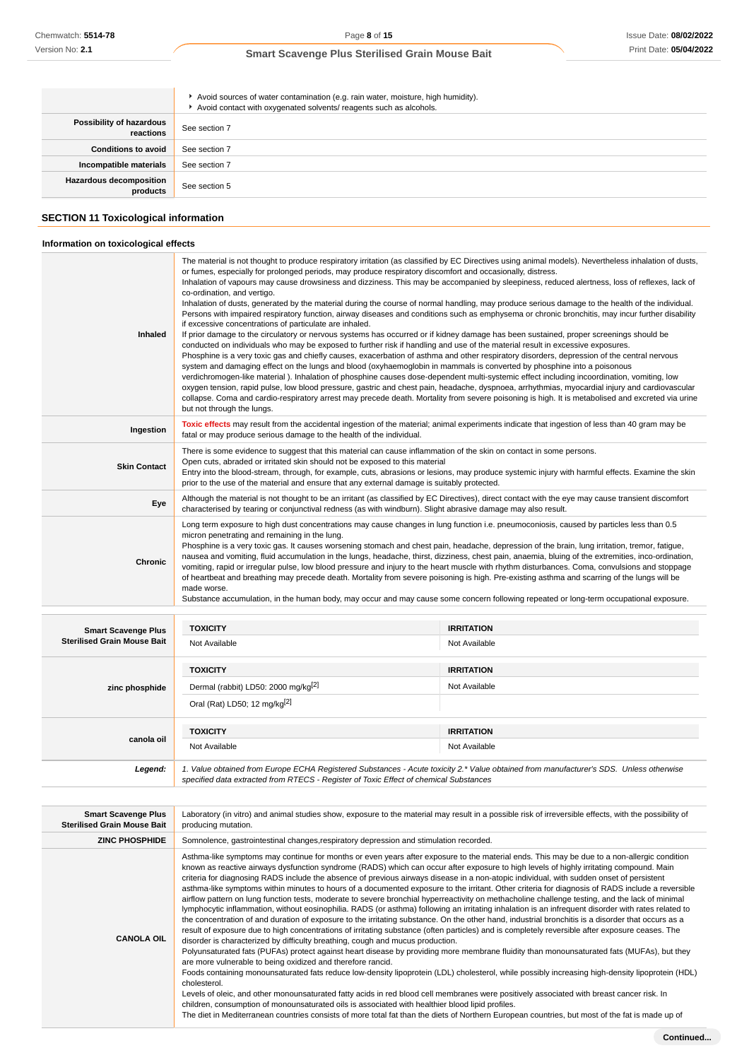|                                            | Avoid sources of water contamination (e.g. rain water, moisture, high humidity).<br>Avoid contact with oxygenated solvents/ reagents such as alcohols. |
|--------------------------------------------|--------------------------------------------------------------------------------------------------------------------------------------------------------|
| Possibility of hazardous<br>reactions      | See section 7                                                                                                                                          |
| <b>Conditions to avoid</b>                 | See section 7                                                                                                                                          |
| Incompatible materials                     | See section 7                                                                                                                                          |
| <b>Hazardous decomposition</b><br>products | See section 5                                                                                                                                          |

# **SECTION 11 Toxicological information**

### **Information on toxicological effects**

| Inhaled                                                          | The material is not thought to produce respiratory irritation (as classified by EC Directives using animal models). Nevertheless inhalation of dusts,<br>or fumes, especially for prolonged periods, may produce respiratory discomfort and occasionally, distress.<br>Inhalation of vapours may cause drowsiness and dizziness. This may be accompanied by sleepiness, reduced alertness, loss of reflexes, lack of<br>co-ordination, and vertigo.<br>Inhalation of dusts, generated by the material during the course of normal handling, may produce serious damage to the health of the individual.<br>Persons with impaired respiratory function, airway diseases and conditions such as emphysema or chronic bronchitis, may incur further disability<br>if excessive concentrations of particulate are inhaled.<br>If prior damage to the circulatory or nervous systems has occurred or if kidney damage has been sustained, proper screenings should be<br>conducted on individuals who may be exposed to further risk if handling and use of the material result in excessive exposures.<br>Phosphine is a very toxic gas and chiefly causes, exacerbation of asthma and other respiratory disorders, depression of the central nervous<br>system and damaging effect on the lungs and blood (oxyhaemoglobin in mammals is converted by phosphine into a poisonous<br>verdichromogen-like material). Inhalation of phosphine causes dose-dependent multi-systemic effect including incoordination, vomiting, low<br>oxygen tension, rapid pulse, low blood pressure, gastric and chest pain, headache, dyspnoea, arrhythmias, myocardial injury and cardiovascular<br>collapse. Coma and cardio-respiratory arrest may precede death. Mortality from severe poisoning is high. It is metabolised and excreted via urine<br>but not through the lungs. |                                    |  |
|------------------------------------------------------------------|-----------------------------------------------------------------------------------------------------------------------------------------------------------------------------------------------------------------------------------------------------------------------------------------------------------------------------------------------------------------------------------------------------------------------------------------------------------------------------------------------------------------------------------------------------------------------------------------------------------------------------------------------------------------------------------------------------------------------------------------------------------------------------------------------------------------------------------------------------------------------------------------------------------------------------------------------------------------------------------------------------------------------------------------------------------------------------------------------------------------------------------------------------------------------------------------------------------------------------------------------------------------------------------------------------------------------------------------------------------------------------------------------------------------------------------------------------------------------------------------------------------------------------------------------------------------------------------------------------------------------------------------------------------------------------------------------------------------------------------------------------------------------------------------------------------------------------------------------------------------|------------------------------------|--|
| Ingestion                                                        | Toxic effects may result from the accidental ingestion of the material; animal experiments indicate that ingestion of less than 40 gram may be<br>fatal or may produce serious damage to the health of the individual.                                                                                                                                                                                                                                                                                                                                                                                                                                                                                                                                                                                                                                                                                                                                                                                                                                                                                                                                                                                                                                                                                                                                                                                                                                                                                                                                                                                                                                                                                                                                                                                                                                          |                                    |  |
| <b>Skin Contact</b>                                              | There is some evidence to suggest that this material can cause inflammation of the skin on contact in some persons.<br>Open cuts, abraded or irritated skin should not be exposed to this material<br>Entry into the blood-stream, through, for example, cuts, abrasions or lesions, may produce systemic injury with harmful effects. Examine the skin<br>prior to the use of the material and ensure that any external damage is suitably protected.                                                                                                                                                                                                                                                                                                                                                                                                                                                                                                                                                                                                                                                                                                                                                                                                                                                                                                                                                                                                                                                                                                                                                                                                                                                                                                                                                                                                          |                                    |  |
| Eye                                                              | Although the material is not thought to be an irritant (as classified by EC Directives), direct contact with the eye may cause transient discomfort<br>characterised by tearing or conjunctival redness (as with windburn). Slight abrasive damage may also result.                                                                                                                                                                                                                                                                                                                                                                                                                                                                                                                                                                                                                                                                                                                                                                                                                                                                                                                                                                                                                                                                                                                                                                                                                                                                                                                                                                                                                                                                                                                                                                                             |                                    |  |
| <b>Chronic</b>                                                   | Long term exposure to high dust concentrations may cause changes in lung function i.e. pneumoconiosis, caused by particles less than 0.5<br>micron penetrating and remaining in the lung.<br>Phosphine is a very toxic gas. It causes worsening stomach and chest pain, headache, depression of the brain, lung irritation, tremor, fatigue,<br>nausea and vomiting, fluid accumulation in the lungs, headache, thirst, dizziness, chest pain, anaemia, bluing of the extremities, inco-ordination,<br>vomiting, rapid or irregular pulse, low blood pressure and injury to the heart muscle with rhythm disturbances. Coma, convulsions and stoppage<br>of heartbeat and breathing may precede death. Mortality from severe poisoning is high. Pre-existing asthma and scarring of the lungs will be<br>made worse.<br>Substance accumulation, in the human body, may occur and may cause some concern following repeated or long-term occupational exposure.                                                                                                                                                                                                                                                                                                                                                                                                                                                                                                                                                                                                                                                                                                                                                                                                                                                                                                  |                                    |  |
|                                                                  |                                                                                                                                                                                                                                                                                                                                                                                                                                                                                                                                                                                                                                                                                                                                                                                                                                                                                                                                                                                                                                                                                                                                                                                                                                                                                                                                                                                                                                                                                                                                                                                                                                                                                                                                                                                                                                                                 |                                    |  |
| <b>Smart Scavenge Plus</b><br><b>Sterilised Grain Mouse Bait</b> | <b>TOXICITY</b><br>Not Available                                                                                                                                                                                                                                                                                                                                                                                                                                                                                                                                                                                                                                                                                                                                                                                                                                                                                                                                                                                                                                                                                                                                                                                                                                                                                                                                                                                                                                                                                                                                                                                                                                                                                                                                                                                                                                | <b>IRRITATION</b><br>Not Available |  |
|                                                                  | <b>TOXICITY</b>                                                                                                                                                                                                                                                                                                                                                                                                                                                                                                                                                                                                                                                                                                                                                                                                                                                                                                                                                                                                                                                                                                                                                                                                                                                                                                                                                                                                                                                                                                                                                                                                                                                                                                                                                                                                                                                 | <b>IRRITATION</b>                  |  |
| zinc phosphide                                                   | Dermal (rabbit) LD50: 2000 mg/kg <sup>[2]</sup>                                                                                                                                                                                                                                                                                                                                                                                                                                                                                                                                                                                                                                                                                                                                                                                                                                                                                                                                                                                                                                                                                                                                                                                                                                                                                                                                                                                                                                                                                                                                                                                                                                                                                                                                                                                                                 | Not Available                      |  |
|                                                                  | Oral (Rat) LD50; 12 mg/kg[2]                                                                                                                                                                                                                                                                                                                                                                                                                                                                                                                                                                                                                                                                                                                                                                                                                                                                                                                                                                                                                                                                                                                                                                                                                                                                                                                                                                                                                                                                                                                                                                                                                                                                                                                                                                                                                                    |                                    |  |
| canola oil                                                       | <b>TOXICITY</b>                                                                                                                                                                                                                                                                                                                                                                                                                                                                                                                                                                                                                                                                                                                                                                                                                                                                                                                                                                                                                                                                                                                                                                                                                                                                                                                                                                                                                                                                                                                                                                                                                                                                                                                                                                                                                                                 | <b>IRRITATION</b>                  |  |
|                                                                  | Not Available                                                                                                                                                                                                                                                                                                                                                                                                                                                                                                                                                                                                                                                                                                                                                                                                                                                                                                                                                                                                                                                                                                                                                                                                                                                                                                                                                                                                                                                                                                                                                                                                                                                                                                                                                                                                                                                   | Not Available                      |  |
| Legend:                                                          | 1. Value obtained from Europe ECHA Registered Substances - Acute toxicity 2.* Value obtained from manufacturer's SDS. Unless otherwise<br>specified data extracted from RTECS - Register of Toxic Effect of chemical Substances                                                                                                                                                                                                                                                                                                                                                                                                                                                                                                                                                                                                                                                                                                                                                                                                                                                                                                                                                                                                                                                                                                                                                                                                                                                                                                                                                                                                                                                                                                                                                                                                                                 |                                    |  |
|                                                                  |                                                                                                                                                                                                                                                                                                                                                                                                                                                                                                                                                                                                                                                                                                                                                                                                                                                                                                                                                                                                                                                                                                                                                                                                                                                                                                                                                                                                                                                                                                                                                                                                                                                                                                                                                                                                                                                                 |                                    |  |

| <b>ZINC PHOSPHIDE</b><br>Somnolence, gastrointestinal changes, respiratory depression and stimulation recorded.<br>Asthma-like symptoms may continue for months or even years after exposure to the material ends. This may be due to a non-allergic condition<br>known as reactive airways dysfunction syndrome (RADS) which can occur after exposure to high levels of highly irritating compound. Main<br>criteria for diagnosing RADS include the absence of previous airways disease in a non-atopic individual, with sudden onset of persistent<br>airflow pattern on lung function tests, moderate to severe bronchial hyperreactivity on methacholine challenge testing, and the lack of minimal<br>lymphocytic inflammation, without eosinophilia. RADS (or asthma) following an irritating inhalation is an infrequent disorder with rates related to<br>the concentration of and duration of exposure to the irritating substance. On the other hand, industrial bronchitis is a disorder that occurs as a<br>result of exposure due to high concentrations of irritating substance (often particles) and is completely reversible after exposure ceases. The<br><b>CANOLA OIL</b><br>disorder is characterized by difficulty breathing, cough and mucus production.<br>Polyunsaturated fats (PUFAs) protect against heart disease by providing more membrane fluidity than monounsaturated fats (MUFAs), but they<br>are more vulnerable to being oxidized and therefore rancid.<br>cholesterol.<br>Levels of oleic, and other monounsaturated fatty acids in red blood cell membranes were positively associated with breast cancer risk. In<br>children, consumption of monounsaturated oils is associated with healthier blood lipid profiles. | <b>Smart Scavenge Plus</b><br><b>Sterilised Grain Mouse Bait</b> | Laboratory (in vitro) and animal studies show, exposure to the material may result in a possible risk of irreversible effects, with the possibility of<br>producing mutation.                                                                                                                                                                                                                                                                           |
|---------------------------------------------------------------------------------------------------------------------------------------------------------------------------------------------------------------------------------------------------------------------------------------------------------------------------------------------------------------------------------------------------------------------------------------------------------------------------------------------------------------------------------------------------------------------------------------------------------------------------------------------------------------------------------------------------------------------------------------------------------------------------------------------------------------------------------------------------------------------------------------------------------------------------------------------------------------------------------------------------------------------------------------------------------------------------------------------------------------------------------------------------------------------------------------------------------------------------------------------------------------------------------------------------------------------------------------------------------------------------------------------------------------------------------------------------------------------------------------------------------------------------------------------------------------------------------------------------------------------------------------------------------------------------------------------------------------------------------------------------------------|------------------------------------------------------------------|---------------------------------------------------------------------------------------------------------------------------------------------------------------------------------------------------------------------------------------------------------------------------------------------------------------------------------------------------------------------------------------------------------------------------------------------------------|
|                                                                                                                                                                                                                                                                                                                                                                                                                                                                                                                                                                                                                                                                                                                                                                                                                                                                                                                                                                                                                                                                                                                                                                                                                                                                                                                                                                                                                                                                                                                                                                                                                                                                                                                                                               |                                                                  |                                                                                                                                                                                                                                                                                                                                                                                                                                                         |
|                                                                                                                                                                                                                                                                                                                                                                                                                                                                                                                                                                                                                                                                                                                                                                                                                                                                                                                                                                                                                                                                                                                                                                                                                                                                                                                                                                                                                                                                                                                                                                                                                                                                                                                                                               |                                                                  | asthma-like symptoms within minutes to hours of a documented exposure to the irritant. Other criteria for diagnosis of RADS include a reversible<br>Foods containing monounsaturated fats reduce low-density lipoprotein (LDL) cholesterol, while possibly increasing high-density lipoprotein (HDL)<br>The diet in Mediterranean countries consists of more total fat than the diets of Northern European countries, but most of the fat is made up of |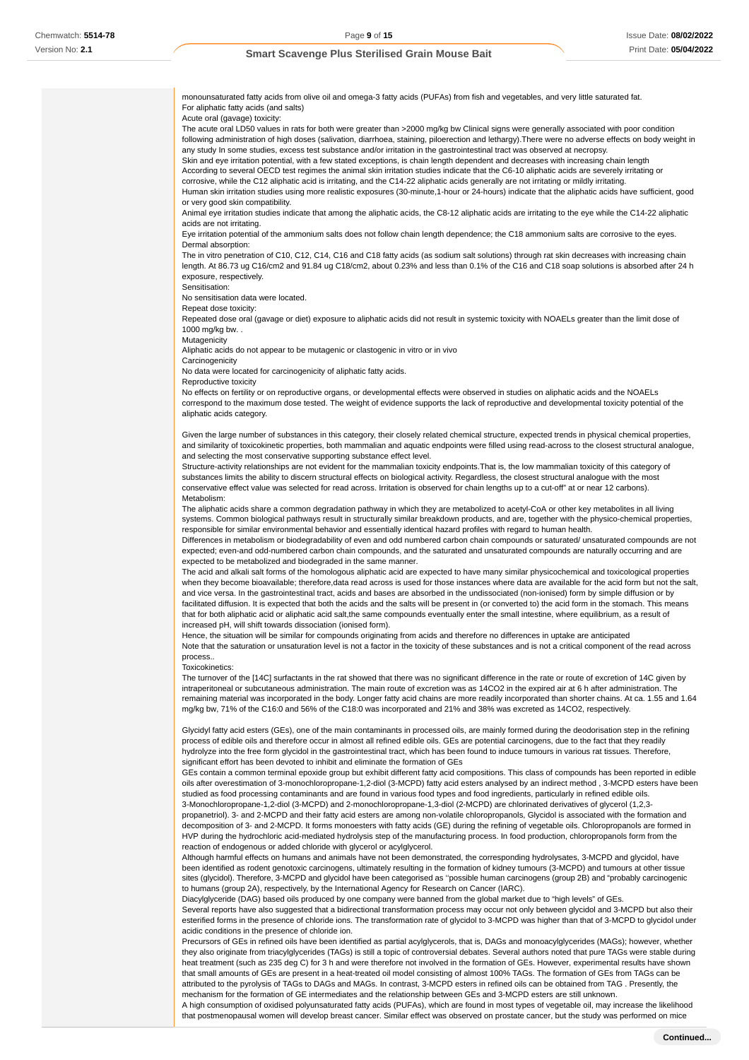monounsaturated fatty acids from olive oil and omega-3 fatty acids (PUFAs) from fish and vegetables, and very little saturated fat. For aliphatic fatty acids (and salts) Acute oral (gavage) toxicity: The acute oral LD50 values in rats for both were greater than >2000 mg/kg bw Clinical signs were generally associated with poor condition following administration of high doses (salivation, diarrhoea, staining, piloerection and lethargy).There were no adverse effects on body weight in any study In some studies, excess test substance and/or irritation in the gastrointestinal tract was observed at necropsy. Skin and eye irritation potential, with a few stated exceptions, is chain length dependent and decreases with increasing chain length According to several OECD test regimes the animal skin irritation studies indicate that the C6-10 aliphatic acids are severely irritating or corrosive, while the C12 aliphatic acid is irritating, and the C14-22 aliphatic acids generally are not irritating or mildly irritating. Human skin irritation studies using more realistic exposures (30-minute,1-hour or 24-hours) indicate that the aliphatic acids have sufficient, good or very good skin compatibility. Animal eye irritation studies indicate that among the aliphatic acids, the C8-12 aliphatic acids are irritating to the eye while the C14-22 aliphatic acids are not irritating. Eye irritation potential of the ammonium salts does not follow chain length dependence; the C18 ammonium salts are corrosive to the eyes. Dermal absorption: The in vitro penetration of C10, C12, C14, C16 and C18 fatty acids (as sodium salt solutions) through rat skin decreases with increasing chain length. At 86.73 ug C16/cm2 and 91.84 ug C18/cm2, about 0.23% and less than 0.1% of the C16 and C18 soap solutions is absorbed after 24 h exposure, respectively. Sensitisation: No sensitisation data were located. Repeat dose toxicity: Repeated dose oral (gavage or diet) exposure to aliphatic acids did not result in systemic toxicity with NOAELs greater than the limit dose of 1000 mg/kg bw. . **Mutagenicity** Aliphatic acids do not appear to be mutagenic or clastogenic in vitro or in vivo Carcinogenicity No data were located for carcinogenicity of aliphatic fatty acids. Reproductive toxicity No effects on fertility or on reproductive organs, or developmental effects were observed in studies on aliphatic acids and the NOAELs correspond to the maximum dose tested. The weight of evidence supports the lack of reproductive and developmental toxicity potential of the aliphatic acids category. Given the large number of substances in this category, their closely related chemical structure, expected trends in physical chemical properties, and similarity of toxicokinetic properties, both mammalian and aquatic endpoints were filled using read-across to the closest structural analogue, and selecting the most conservative supporting substance effect level. Structure-activity relationships are not evident for the mammalian toxicity endpoints.That is, the low mammalian toxicity of this category of substances limits the ability to discern structural effects on biological activity. Regardless, the closest structural analogue with the most conservative effect value was selected for read across. Irritation is observed for chain lengths up to a cut-off" at or near 12 carbons). Metabolism: The aliphatic acids share a common degradation pathway in which they are metabolized to acetyl-CoA or other key metabolites in all living systems. Common biological pathways result in structurally similar breakdown products, and are, together with the physico-chemical properties, responsible for similar environmental behavior and essentially identical hazard profiles with regard to human health. Differences in metabolism or biodegradability of even and odd numbered carbon chain compounds or saturated/ unsaturated compounds are not expected; even-and odd-numbered carbon chain compounds, and the saturated and unsaturated compounds are naturally occurring and are expected to be metabolized and biodegraded in the same manner. The acid and alkali salt forms of the homologous aliphatic acid are expected to have many similar physicochemical and toxicological properties when they become bioavailable; therefore,data read across is used for those instances where data are available for the acid form but not the salt, and vice versa. In the gastrointestinal tract, acids and bases are absorbed in the undissociated (non-ionised) form by simple diffusion or by facilitated diffusion. It is expected that both the acids and the salts will be present in (or converted to) the acid form in the stomach. This means that for both aliphatic acid or aliphatic acid salt,the same compounds eventually enter the small intestine, where equilibrium, as a result of increased pH, will shift towards dissociation (ionised form). Hence, the situation will be similar for compounds originating from acids and therefore no differences in uptake are anticipated Note that the saturation or unsaturation level is not a factor in the toxicity of these substances and is not a critical component of the read across process.. Toxicokinetics: The turnover of the [14C] surfactants in the rat showed that there was no significant difference in the rate or route of excretion of 14C given by intraperitoneal or subcutaneous administration. The main route of excretion was as 14CO2 in the expired air at 6 h after administration. The remaining material was incorporated in the body. Longer fatty acid chains are more readily incorporated than shorter chains. At ca. 1.55 and 1.64 mg/kg bw, 71% of the C16:0 and 56% of the C18:0 was incorporated and 21% and 38% was excreted as 14CO2, respectively. Glycidyl fatty acid esters (GEs), one of the main contaminants in processed oils, are mainly formed during the deodorisation step in the refining process of edible oils and therefore occur in almost all refined edible oils. GEs are potential carcinogens, due to the fact that they readily hydrolyze into the free form glycidol in the gastrointestinal tract, which has been found to induce tumours in various rat tissues. Therefore, significant effort has been devoted to inhibit and eliminate the formation of GEs GEs contain a common terminal epoxide group but exhibit different fatty acid compositions. This class of compounds has been reported in edible oils after overestimation of 3-monochloropropane-1,2-diol (3-MCPD) fatty acid esters analysed by an indirect method , 3-MCPD esters have been studied as food processing contaminants and are found in various food types and food ingredients, particularly in refined edible oils. 3-Monochloropropane-1,2-diol (3-MCPD) and 2-monochloropropane-1,3-diol (2-MCPD) are chlorinated derivatives of glycerol (1,2,3 propanetriol). 3- and 2-MCPD and their fatty acid esters are among non-volatile chloropropanols, Glycidol is associated with the formation and decomposition of 3- and 2-MCPD. It forms monoesters with fatty acids (GE) during the refining of vegetable oils. Chloropropanols are formed in HVP during the hydrochloric acid-mediated hydrolysis step of the manufacturing process. In food production, chloropropanols form from the reaction of endogenous or added chloride with glycerol or acylglycerol. Although harmful effects on humans and animals have not been demonstrated, the corresponding hydrolysates, 3-MCPD and glycidol, have been identified as rodent genotoxic carcinogens, ultimately resulting in the formation of kidney tumours (3-MCPD) and tumours at other tissue sites (glycidol). Therefore, 3-MCPD and glycidol have been categorised as ''possible human carcinogens (group 2B) and "probably carcinogenic to humans (group 2A), respectively, by the International Agency for Research on Cancer (IARC). Diacylglyceride (DAG) based oils produced by one company were banned from the global market due to "high levels" of GEs. Several reports have also suggested that a bidirectional transformation process may occur not only between glycidol and 3-MCPD but also their esterified forms in the presence of chloride ions. The transformation rate of glycidol to 3-MCPD was higher than that of 3-MCPD to glycidol under acidic conditions in the presence of chloride ion. Precursors of GEs in refined oils have been identified as partial acylglycerols, that is, DAGs and monoacylglycerides (MAGs); however, whether they also originate from triacylglycerides (TAGs) is still a topic of controversial debates. Several authors noted that pure TAGs were stable during

heat treatment (such as 235 deg C) for 3 h and were therefore not involved in the formation of GEs. However, experimental results have shown that small amounts of GEs are present in a heat-treated oil model consisting of almost 100% TAGs. The formation of GEs from TAGs can be attributed to the pyrolysis of TAGs to DAGs and MAGs. In contrast, 3-MCPD esters in refined oils can be obtained from TAG . Presently, the mechanism for the formation of GE intermediates and the relationship between GEs and 3-MCPD esters are still unknown.

A high consumption of oxidised polyunsaturated fatty acids (PUFAs), which are found in most types of vegetable oil, may increase the likelihood that postmenopausal women will develop breast cancer. Similar effect was observed on prostate cancer, but the study was performed on mice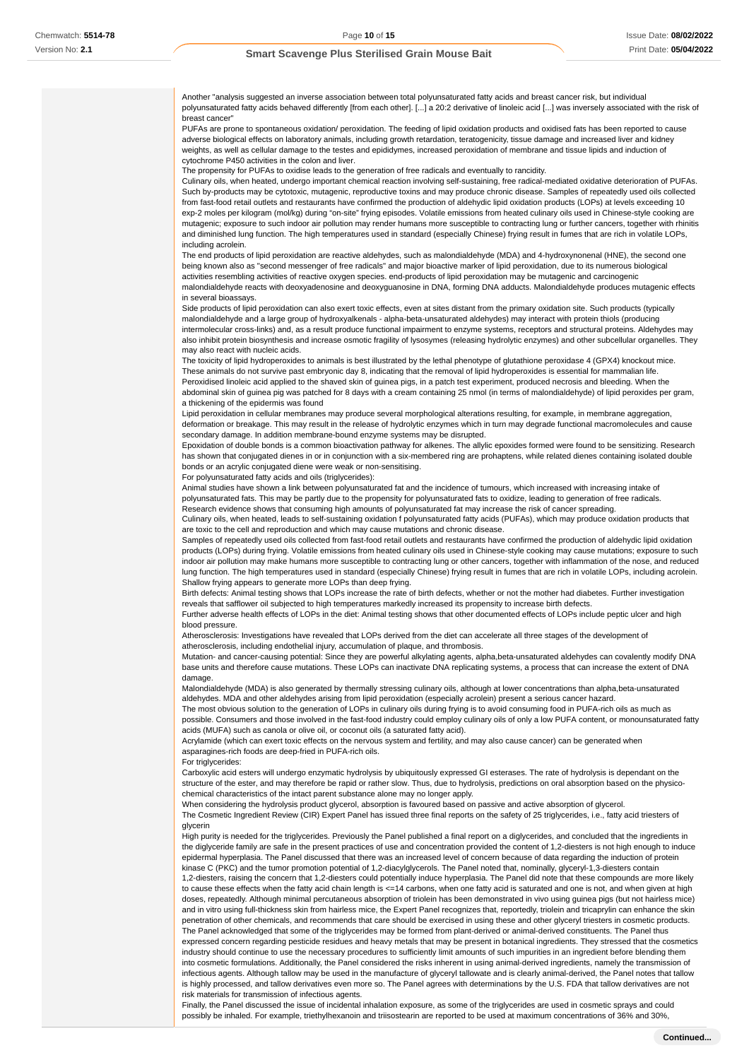Another "analysis suggested an inverse association between total polyunsaturated fatty acids and breast cancer risk, but individual polyunsaturated fatty acids behaved differently [from each other]. [...] a 20:2 derivative of linoleic acid [...] was inversely associated with the risk of breast cancer"

PUFAs are prone to spontaneous oxidation/ peroxidation. The feeding of lipid oxidation products and oxidised fats has been reported to cause adverse biological effects on laboratory animals, including growth retardation, teratogenicity, tissue damage and increased liver and kidney weights, as well as cellular damage to the testes and epididymes, increased peroxidation of membrane and tissue lipids and induction of cytochrome P450 activities in the colon and liver.

The propensity for PUFAs to oxidise leads to the generation of free radicals and eventually to rancidity.

Culinary oils, when heated, undergo important chemical reaction involving self-sustaining, free radical-mediated oxidative deterioration of PUFAs. Such by-products may be cytotoxic, mutagenic, reproductive toxins and may produce chronic disease. Samples of repeatedly used oils collected from fast-food retail outlets and restaurants have confirmed the production of aldehydic lipid oxidation products (LOPs) at levels exceeding 10 exp-2 moles per kilogram (mol/kg) during "on-site" frying episodes. Volatile emissions from heated culinary oils used in Chinese-style cooking are mutagenic; exposure to such indoor air pollution may render humans more susceptible to contracting lung or further cancers, together with rhinitis and diminished lung function. The high temperatures used in standard (especially Chinese) frying result in fumes that are rich in volatile LOPs, including acrolein.

The end products of lipid peroxidation are reactive aldehydes, such as malondialdehyde (MDA) and 4-hydroxynonenal (HNE), the second one being known also as "second messenger of free radicals" and major bioactive marker of lipid peroxidation, due to its numerous biological activities resembling activities of reactive oxygen species. end-products of lipid peroxidation may be mutagenic and carcinogenic malondialdehyde reacts with deoxyadenosine and deoxyguanosine in DNA, forming DNA adducts. Malondialdehyde produces mutagenic effects in several bioassays.

Side products of lipid peroxidation can also exert toxic effects, even at sites distant from the primary oxidation site. Such products (typically malondialdehyde and a large group of hydroxyalkenals - alpha-beta-unsaturated aldehydes) may interact with protein thiols (producing intermolecular cross-links) and, as a result produce functional impairment to enzyme systems, receptors and structural proteins. Aldehydes may also inhibit protein biosynthesis and increase osmotic fragility of lysosymes (releasing hydrolytic enzymes) and other subcellular organelles. They may also react with nucleic acids.

The toxicity of lipid hydroperoxides to animals is best illustrated by the lethal phenotype of glutathione peroxidase 4 (GPX4) knockout mice. These animals do not survive past embryonic day 8, indicating that the removal of lipid hydroperoxides is essential for mammalian life. Peroxidised linoleic acid applied to the shaved skin of guinea pigs, in a patch test experiment, produced necrosis and bleeding. When the abdominal skin of guinea pig was patched for 8 days with a cream containing 25 nmol (in terms of malondialdehyde) of lipid peroxides per gram, a thickening of the epidermis was found

Lipid peroxidation in cellular membranes may produce several morphological alterations resulting, for example, in membrane aggregation, deformation or breakage. This may result in the release of hydrolytic enzymes which in turn may degrade functional macromolecules and cause secondary damage. In addition membrane-bound enzyme systems may be disrupted.

Epoxidation of double bonds is a common bioactivation pathway for alkenes. The allylic epoxides formed were found to be sensitizing. Research has shown that conjugated dienes in or in conjunction with a six-membered ring are prohaptens, while related dienes containing isolated double bonds or an acrylic conjugated diene were weak or non-sensitising.

For polyunsaturated fatty acids and oils (triglycerides):

Animal studies have shown a link between polyunsaturated fat and the incidence of tumours, which increased with increasing intake of polyunsaturated fats. This may be partly due to the propensity for polyunsaturated fats to oxidize, leading to generation of free radicals. Research evidence shows that consuming high amounts of polyunsaturated fat may increase the risk of cancer spreading.

Culinary oils, when heated, leads to self-sustaining oxidation f polyunsaturated fatty acids (PUFAs), which may produce oxidation products that are toxic to the cell and reproduction and which may cause mutations and chronic disease.

Samples of repeatedly used oils collected from fast-food retail outlets and restaurants have confirmed the production of aldehydic lipid oxidation products (LOPs) during frying. Volatile emissions from heated culinary oils used in Chinese-style cooking may cause mutations; exposure to such indoor air pollution may make humans more susceptible to contracting lung or other cancers, together with inflammation of the nose, and reduced lung function. The high temperatures used in standard (especially Chinese) frying result in fumes that are rich in volatile LOPs, including acrolein. Shallow frying appears to generate more LOPs than deep frying.

Birth defects: Animal testing shows that LOPs increase the rate of birth defects, whether or not the mother had diabetes. Further investigation reveals that safflower oil subjected to high temperatures markedly increased its propensity to increase birth defects. Further adverse health effects of LOPs in the diet: Animal testing shows that other documented effects of LOPs include peptic ulcer and high

# blood pressure.

Atherosclerosis: Investigations have revealed that LOPs derived from the diet can accelerate all three stages of the development of atherosclerosis, including endothelial injury, accumulation of plaque, and thrombosis.

Mutation- and cancer-causing potential: Since they are powerful alkylating agents, alpha,beta-unsaturated aldehydes can covalently modify DNA base units and therefore cause mutations. These LOPs can inactivate DNA replicating systems, a process that can increase the extent of DNA damage.

Malondialdehyde (MDA) is also generated by thermally stressing culinary oils, although at lower concentrations than alpha,beta-unsaturated aldehydes. MDA and other aldehydes arising from lipid peroxidation (especially acrolein) present a serious cancer hazard.

The most obvious solution to the generation of LOPs in culinary oils during frying is to avoid consuming food in PUFA-rich oils as much as possible. Consumers and those involved in the fast-food industry could employ culinary oils of only a low PUFA content, or monounsaturated fatty acids (MUFA) such as canola or olive oil, or coconut oils (a saturated fatty acid).

Acrylamide (which can exert toxic effects on the nervous system and fertility, and may also cause cancer) can be generated when asparagines-rich foods are deep-fried in PUFA-rich oils.

For triglycerides:

Carboxylic acid esters will undergo enzymatic hydrolysis by ubiquitously expressed GI esterases. The rate of hydrolysis is dependant on the structure of the ester, and may therefore be rapid or rather slow. Thus, due to hydrolysis, predictions on oral absorption based on the physicochemical characteristics of the intact parent substance alone may no longer apply.

When considering the hydrolysis product glycerol, absorption is favoured based on passive and active absorption of glycerol. The Cosmetic Ingredient Review (CIR) Expert Panel has issued three final reports on the safety of 25 triglycerides, i.e., fatty acid triesters of glycerin

High purity is needed for the triglycerides. Previously the Panel published a final report on a diglycerides, and concluded that the ingredients in the diglyceride family are safe in the present practices of use and concentration provided the content of 1,2-diesters is not high enough to induce epidermal hyperplasia. The Panel discussed that there was an increased level of concern because of data regarding the induction of protein kinase C (PKC) and the tumor promotion potential of 1,2-diacylglycerols. The Panel noted that, nominally, glyceryl-1,3-diesters contain

1,2-diesters, raising the concern that 1,2-diesters could potentially induce hyperplasia. The Panel did note that these compounds are more likely to cause these effects when the fatty acid chain length is <=14 carbons, when one fatty acid is saturated and one is not, and when given at high doses, repeatedly. Although minimal percutaneous absorption of triolein has been demonstrated in vivo using guinea pigs (but not hairless mice) and in vitro using full-thickness skin from hairless mice, the Expert Panel recognizes that, reportedly, triolein and tricaprylin can enhance the skin penetration of other chemicals, and recommends that care should be exercised in using these and other glyceryl triesters in cosmetic products. The Panel acknowledged that some of the triglycerides may be formed from plant-derived or animal-derived constituents. The Panel thus

expressed concern regarding pesticide residues and heavy metals that may be present in botanical ingredients. They stressed that the cosmetics industry should continue to use the necessary procedures to sufficiently limit amounts of such impurities in an ingredient before blending them into cosmetic formulations. Additionally, the Panel considered the risks inherent in using animal-derived ingredients, namely the transmission of infectious agents. Although tallow may be used in the manufacture of glyceryl tallowate and is clearly animal-derived, the Panel notes that tallow is highly processed, and tallow derivatives even more so. The Panel agrees with determinations by the U.S. FDA that tallow derivatives are not risk materials for transmission of infectious agents.

Finally, the Panel discussed the issue of incidental inhalation exposure, as some of the triglycerides are used in cosmetic sprays and could possibly be inhaled. For example, triethylhexanoin and triisostearin are reported to be used at maximum concentrations of 36% and 30%,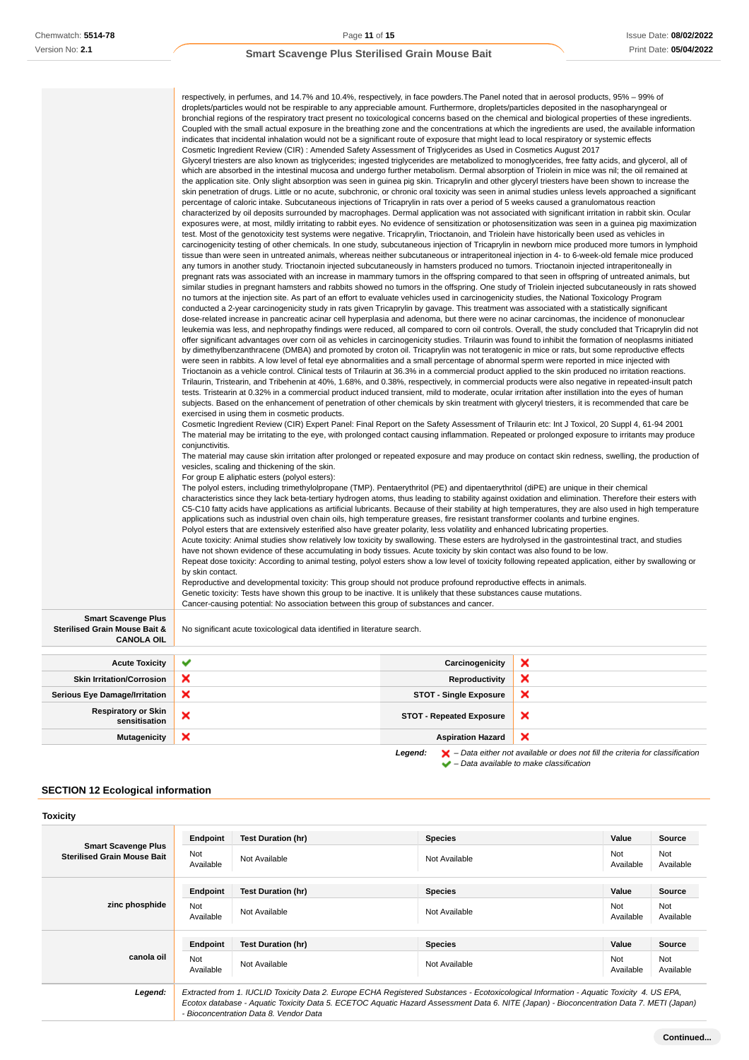|                                                                                  | droplets/particles would not be respirable to any appreciable amount. Furthermore, droplets/particles deposited in the nasopharyngeal or<br>bronchial regions of the respiratory tract present no toxicological concerns based on the chemical and biological properties of these ingredients.<br>Coupled with the small actual exposure in the breathing zone and the concentrations at which the ingredients are used, the available information<br>indicates that incidental inhalation would not be a significant route of exposure that might lead to local respiratory or systemic effects<br>Cosmetic Ingredient Review (CIR): Amended Safety Assessment of Triglycerides as Used in Cosmetics August 2017<br>Glyceryl triesters are also known as triglycerides; ingested triglycerides are metabolized to monoglycerides, free fatty acids, and glycerol, all of<br>which are absorbed in the intestinal mucosa and undergo further metabolism. Dermal absorption of Triolein in mice was nil; the oil remained at<br>the application site. Only slight absorption was seen in guinea pig skin. Tricaprylin and other glyceryl triesters have been shown to increase the<br>skin penetration of drugs. Little or no acute, subchronic, or chronic oral toxicity was seen in animal studies unless levels approached a significant<br>percentage of caloric intake. Subcutaneous injections of Tricaprylin in rats over a period of 5 weeks caused a granulomatous reaction<br>characterized by oil deposits surrounded by macrophages. Dermal application was not associated with significant irritation in rabbit skin. Ocular<br>exposures were, at most, mildly irritating to rabbit eyes. No evidence of sensitization or photosensitization was seen in a guinea pig maximization<br>test. Most of the genotoxicity test systems were negative. Tricaprylin, Trioctanoin, and Triolein have historically been used as vehicles in<br>carcinogenicity testing of other chemicals. In one study, subcutaneous injection of Tricaprylin in newborn mice produced more tumors in lymphoid<br>tissue than were seen in untreated animals, whereas neither subcutaneous or intraperitoneal injection in 4- to 6-week-old female mice produced<br>any tumors in another study. Trioctanoin injected subcutaneously in hamsters produced no tumors. Trioctanoin injected intraperitoneally in<br>pregnant rats was associated with an increase in mammary tumors in the offspring compared to that seen in offspring of untreated animals, but<br>similar studies in pregnant hamsters and rabbits showed no tumors in the offspring. One study of Triolein injected subcutaneously in rats showed<br>no tumors at the injection site. As part of an effort to evaluate vehicles used in carcinogenicity studies, the National Toxicology Program<br>conducted a 2-year carcinogenicity study in rats given Tricaprylin by gavage. This treatment was associated with a statistically significant<br>dose-related increase in pancreatic acinar cell hyperplasia and adenoma, but there were no acinar carcinomas, the incidence of mononuclear<br>leukemia was less, and nephropathy findings were reduced, all compared to corn oil controls. Overall, the study concluded that Tricaprylin did not<br>offer significant advantages over corn oil as vehicles in carcinogenicity studies. Trilaurin was found to inhibit the formation of neoplasms initiated<br>by dimethylbenzanthracene (DMBA) and promoted by croton oil. Tricaprylin was not teratogenic in mice or rats, but some reproductive effects<br>were seen in rabbits. A low level of fetal eye abnormalities and a small percentage of abnormal sperm were reported in mice injected with<br>Trioctanoin as a vehicle control. Clinical tests of Trilaurin at 36.3% in a commercial product applied to the skin produced no irritation reactions.<br>Trilaurin, Tristearin, and Tribehenin at 40%, 1.68%, and 0.38%, respectively, in commercial products were also negative in repeated-insult patch<br>tests. Tristearin at 0.32% in a commercial product induced transient, mild to moderate, ocular irritation after instillation into the eyes of human<br>subjects. Based on the enhancement of penetration of other chemicals by skin treatment with glyceryl triesters, it is recommended that care be<br>exercised in using them in cosmetic products.<br>Cosmetic Ingredient Review (CIR) Expert Panel: Final Report on the Safety Assessment of Trilaurin etc: Int J Toxicol, 20 Suppl 4, 61-94 2001<br>The material may be irritating to the eye, with prolonged contact causing inflammation. Repeated or prolonged exposure to irritants may produce<br>conjunctivitis.<br>The material may cause skin irritation after prolonged or repeated exposure and may produce on contact skin redness, swelling, the production of<br>vesicles, scaling and thickening of the skin.<br>For group E aliphatic esters (polyol esters):<br>The polyol esters, including trimethylolpropane (TMP). Pentaerythritol (PE) and dipentaerythritol (diPE) are unique in their chemical<br>characteristics since they lack beta-tertiary hydrogen atoms, thus leading to stability against oxidation and elimination. Therefore their esters with<br>C5-C10 fatty acids have applications as artificial lubricants. Because of their stability at high temperatures, they are also used in high temperature<br>applications such as industrial oven chain oils, high temperature greases, fire resistant transformer coolants and turbine engines.<br>Polyol esters that are extensively esterified also have greater polarity, less volatility and enhanced lubricating properties.<br>Acute toxicity: Animal studies show relatively low toxicity by swallowing. These esters are hydrolysed in the gastrointestinal tract, and studies<br>have not shown evidence of these accumulating in body tissues. Acute toxicity by skin contact was also found to be low.<br>Repeat dose toxicity: According to animal testing, polyol esters show a low level of toxicity following repeated application, either by swallowing or<br>by skin contact.<br>Reproductive and developmental toxicity: This group should not produce profound reproductive effects in animals.<br>Genetic toxicity: Tests have shown this group to be inactive. It is unlikely that these substances cause mutations.<br>Cancer-causing potential: No association between this group of substances and cancer.<br>×<br>Carcinogenicity<br>×<br><b>Reproductivity</b> |                                 |   |  |  |
|----------------------------------------------------------------------------------|------------------------------------------------------------------------------------------------------------------------------------------------------------------------------------------------------------------------------------------------------------------------------------------------------------------------------------------------------------------------------------------------------------------------------------------------------------------------------------------------------------------------------------------------------------------------------------------------------------------------------------------------------------------------------------------------------------------------------------------------------------------------------------------------------------------------------------------------------------------------------------------------------------------------------------------------------------------------------------------------------------------------------------------------------------------------------------------------------------------------------------------------------------------------------------------------------------------------------------------------------------------------------------------------------------------------------------------------------------------------------------------------------------------------------------------------------------------------------------------------------------------------------------------------------------------------------------------------------------------------------------------------------------------------------------------------------------------------------------------------------------------------------------------------------------------------------------------------------------------------------------------------------------------------------------------------------------------------------------------------------------------------------------------------------------------------------------------------------------------------------------------------------------------------------------------------------------------------------------------------------------------------------------------------------------------------------------------------------------------------------------------------------------------------------------------------------------------------------------------------------------------------------------------------------------------------------------------------------------------------------------------------------------------------------------------------------------------------------------------------------------------------------------------------------------------------------------------------------------------------------------------------------------------------------------------------------------------------------------------------------------------------------------------------------------------------------------------------------------------------------------------------------------------------------------------------------------------------------------------------------------------------------------------------------------------------------------------------------------------------------------------------------------------------------------------------------------------------------------------------------------------------------------------------------------------------------------------------------------------------------------------------------------------------------------------------------------------------------------------------------------------------------------------------------------------------------------------------------------------------------------------------------------------------------------------------------------------------------------------------------------------------------------------------------------------------------------------------------------------------------------------------------------------------------------------------------------------------------------------------------------------------------------------------------------------------------------------------------------------------------------------------------------------------------------------------------------------------------------------------------------------------------------------------------------------------------------------------------------------------------------------------------------------------------------------------------------------------------------------------------------------------------------------------------------------------------------------------------------------------------------------------------------------------------------------------------------------------------------------------------------------------------------------------------------------------------------------------------------------------------------------------------------------------------------------------------------------------------------------------------------------------------------------------------------------------------------------------------------------------------------------------------------------------------------------------------------------------------------------------------------------------------------------------------------------------------------------------------------------------------------------------------------------------------------------------------------------------------------------------------------------------------------------------------------------------------------------------------------------------------------------------------------------------------------------------------------------------------------------------------------------------------------------------------------------------------------------------------------------------------------------------------------------------------------------------------------------------------------------------------------------------------------------------------------------------------------------------------------------------------------------------------------------------------------------------------------------------------------------------------------------------------------------------------------------------------------------------------------------|---------------------------------|---|--|--|
| <b>Smart Scavenge Plus</b><br>Sterilised Grain Mouse Bait &<br><b>CANOLA OIL</b> | No significant acute toxicological data identified in literature search.                                                                                                                                                                                                                                                                                                                                                                                                                                                                                                                                                                                                                                                                                                                                                                                                                                                                                                                                                                                                                                                                                                                                                                                                                                                                                                                                                                                                                                                                                                                                                                                                                                                                                                                                                                                                                                                                                                                                                                                                                                                                                                                                                                                                                                                                                                                                                                                                                                                                                                                                                                                                                                                                                                                                                                                                                                                                                                                                                                                                                                                                                                                                                                                                                                                                                                                                                                                                                                                                                                                                                                                                                                                                                                                                                                                                                                                                                                                                                                                                                                                                                                                                                                                                                                                                                                                                                                                                                                                                                                                                                                                                                                                                                                                                                                                                                                                                                                                                                                                                                                                                                                                                                                                                                                                                                                                                                                                                                                                                                                                                                                                                                                                                                                                                                                                                                                                                                                                                                                                                                                                                                                                                                                                                                                                                                                                                                                                                                                                                                                                                         |                                 |   |  |  |
| <b>Acute Toxicity</b>                                                            | ✔                                                                                                                                                                                                                                                                                                                                                                                                                                                                                                                                                                                                                                                                                                                                                                                                                                                                                                                                                                                                                                                                                                                                                                                                                                                                                                                                                                                                                                                                                                                                                                                                                                                                                                                                                                                                                                                                                                                                                                                                                                                                                                                                                                                                                                                                                                                                                                                                                                                                                                                                                                                                                                                                                                                                                                                                                                                                                                                                                                                                                                                                                                                                                                                                                                                                                                                                                                                                                                                                                                                                                                                                                                                                                                                                                                                                                                                                                                                                                                                                                                                                                                                                                                                                                                                                                                                                                                                                                                                                                                                                                                                                                                                                                                                                                                                                                                                                                                                                                                                                                                                                                                                                                                                                                                                                                                                                                                                                                                                                                                                                                                                                                                                                                                                                                                                                                                                                                                                                                                                                                                                                                                                                                                                                                                                                                                                                                                                                                                                                                                                                                                                                                |                                 |   |  |  |
| <b>Skin Irritation/Corrosion</b>                                                 | ×                                                                                                                                                                                                                                                                                                                                                                                                                                                                                                                                                                                                                                                                                                                                                                                                                                                                                                                                                                                                                                                                                                                                                                                                                                                                                                                                                                                                                                                                                                                                                                                                                                                                                                                                                                                                                                                                                                                                                                                                                                                                                                                                                                                                                                                                                                                                                                                                                                                                                                                                                                                                                                                                                                                                                                                                                                                                                                                                                                                                                                                                                                                                                                                                                                                                                                                                                                                                                                                                                                                                                                                                                                                                                                                                                                                                                                                                                                                                                                                                                                                                                                                                                                                                                                                                                                                                                                                                                                                                                                                                                                                                                                                                                                                                                                                                                                                                                                                                                                                                                                                                                                                                                                                                                                                                                                                                                                                                                                                                                                                                                                                                                                                                                                                                                                                                                                                                                                                                                                                                                                                                                                                                                                                                                                                                                                                                                                                                                                                                                                                                                                                                                |                                 |   |  |  |
| <b>Serious Eye Damage/Irritation</b>                                             | ×                                                                                                                                                                                                                                                                                                                                                                                                                                                                                                                                                                                                                                                                                                                                                                                                                                                                                                                                                                                                                                                                                                                                                                                                                                                                                                                                                                                                                                                                                                                                                                                                                                                                                                                                                                                                                                                                                                                                                                                                                                                                                                                                                                                                                                                                                                                                                                                                                                                                                                                                                                                                                                                                                                                                                                                                                                                                                                                                                                                                                                                                                                                                                                                                                                                                                                                                                                                                                                                                                                                                                                                                                                                                                                                                                                                                                                                                                                                                                                                                                                                                                                                                                                                                                                                                                                                                                                                                                                                                                                                                                                                                                                                                                                                                                                                                                                                                                                                                                                                                                                                                                                                                                                                                                                                                                                                                                                                                                                                                                                                                                                                                                                                                                                                                                                                                                                                                                                                                                                                                                                                                                                                                                                                                                                                                                                                                                                                                                                                                                                                                                                                                                | <b>STOT - Single Exposure</b>   | × |  |  |
| <b>Respiratory or Skin</b>                                                       | ×                                                                                                                                                                                                                                                                                                                                                                                                                                                                                                                                                                                                                                                                                                                                                                                                                                                                                                                                                                                                                                                                                                                                                                                                                                                                                                                                                                                                                                                                                                                                                                                                                                                                                                                                                                                                                                                                                                                                                                                                                                                                                                                                                                                                                                                                                                                                                                                                                                                                                                                                                                                                                                                                                                                                                                                                                                                                                                                                                                                                                                                                                                                                                                                                                                                                                                                                                                                                                                                                                                                                                                                                                                                                                                                                                                                                                                                                                                                                                                                                                                                                                                                                                                                                                                                                                                                                                                                                                                                                                                                                                                                                                                                                                                                                                                                                                                                                                                                                                                                                                                                                                                                                                                                                                                                                                                                                                                                                                                                                                                                                                                                                                                                                                                                                                                                                                                                                                                                                                                                                                                                                                                                                                                                                                                                                                                                                                                                                                                                                                                                                                                                                                |                                 | × |  |  |
| sensitisation                                                                    |                                                                                                                                                                                                                                                                                                                                                                                                                                                                                                                                                                                                                                                                                                                                                                                                                                                                                                                                                                                                                                                                                                                                                                                                                                                                                                                                                                                                                                                                                                                                                                                                                                                                                                                                                                                                                                                                                                                                                                                                                                                                                                                                                                                                                                                                                                                                                                                                                                                                                                                                                                                                                                                                                                                                                                                                                                                                                                                                                                                                                                                                                                                                                                                                                                                                                                                                                                                                                                                                                                                                                                                                                                                                                                                                                                                                                                                                                                                                                                                                                                                                                                                                                                                                                                                                                                                                                                                                                                                                                                                                                                                                                                                                                                                                                                                                                                                                                                                                                                                                                                                                                                                                                                                                                                                                                                                                                                                                                                                                                                                                                                                                                                                                                                                                                                                                                                                                                                                                                                                                                                                                                                                                                                                                                                                                                                                                                                                                                                                                                                                                                                                                                  | <b>STOT - Repeated Exposure</b> |   |  |  |
| <b>Mutagenicity</b>                                                              | ×                                                                                                                                                                                                                                                                                                                                                                                                                                                                                                                                                                                                                                                                                                                                                                                                                                                                                                                                                                                                                                                                                                                                                                                                                                                                                                                                                                                                                                                                                                                                                                                                                                                                                                                                                                                                                                                                                                                                                                                                                                                                                                                                                                                                                                                                                                                                                                                                                                                                                                                                                                                                                                                                                                                                                                                                                                                                                                                                                                                                                                                                                                                                                                                                                                                                                                                                                                                                                                                                                                                                                                                                                                                                                                                                                                                                                                                                                                                                                                                                                                                                                                                                                                                                                                                                                                                                                                                                                                                                                                                                                                                                                                                                                                                                                                                                                                                                                                                                                                                                                                                                                                                                                                                                                                                                                                                                                                                                                                                                                                                                                                                                                                                                                                                                                                                                                                                                                                                                                                                                                                                                                                                                                                                                                                                                                                                                                                                                                                                                                                                                                                                                                | <b>Aspiration Hazard</b>        | × |  |  |

# **SECTION 12 Ecological information**

| <b>Smart Scavenge Plus</b><br><b>Sterilised Grain Mouse Bait</b> | <b>Endpoint</b>                                                                                                                                                                                                                                                                                                                | <b>Test Duration (hr)</b> | <b>Species</b> | Value            | <b>Source</b>    |
|------------------------------------------------------------------|--------------------------------------------------------------------------------------------------------------------------------------------------------------------------------------------------------------------------------------------------------------------------------------------------------------------------------|---------------------------|----------------|------------------|------------------|
|                                                                  | Not<br>Available                                                                                                                                                                                                                                                                                                               | Not Available             | Not Available  | Not<br>Available | Not<br>Available |
|                                                                  | <b>Endpoint</b>                                                                                                                                                                                                                                                                                                                | <b>Test Duration (hr)</b> | <b>Species</b> | Value            | Source           |
| zinc phosphide                                                   | Not<br>Available                                                                                                                                                                                                                                                                                                               | Not Available             | Not Available  | Not<br>Available | Not<br>Available |
|                                                                  | <b>Endpoint</b>                                                                                                                                                                                                                                                                                                                | <b>Test Duration (hr)</b> | <b>Species</b> | Value            | Source           |
| canola oil                                                       | Not<br>Available                                                                                                                                                                                                                                                                                                               | Not Available             | Not Available  | Not<br>Available | Not<br>Available |
| Legend:                                                          | Extracted from 1. IUCLID Toxicity Data 2. Europe ECHA Registered Substances - Ecotoxicological Information - Aquatic Toxicity 4. US EPA,<br>Ecotox database - Aquatic Toxicity Data 5. ECETOC Aquatic Hazard Assessment Data 6. NITE (Japan) - Bioconcentration Data 7. METI (Japan)<br>- Bioconcentration Data 8. Vendor Data |                           |                |                  |                  |

**Legend:**  $\mathbf{X}$  – Data either not available or does not fill the criteria for classification

– Data available to make classification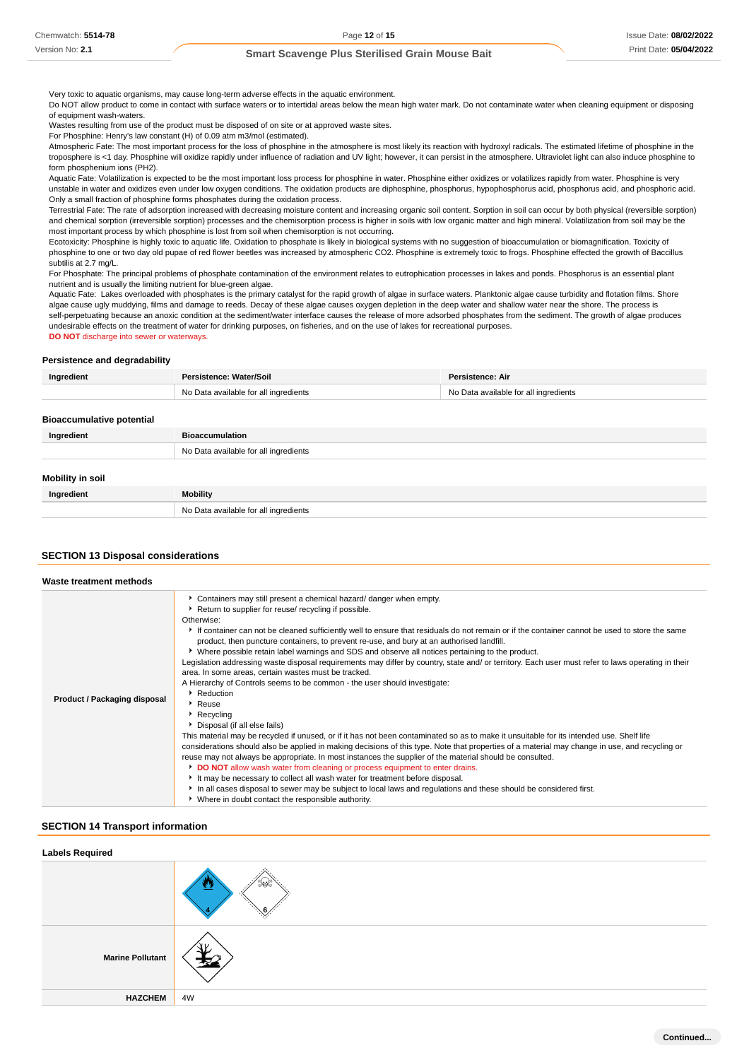Very toxic to aquatic organisms, may cause long-term adverse effects in the aquatic environment.

Do NOT allow product to come in contact with surface waters or to intertidal areas below the mean high water mark. Do not contaminate water when cleaning equipment or disposing of equipment wash-waters.

Wastes resulting from use of the product must be disposed of on site or at approved waste sites.

For Phosphine: Henry's law constant (H) of 0.09 atm m3/mol (estimated).

Atmospheric Fate: The most important process for the loss of phosphine in the atmosphere is most likely its reaction with hydroxyl radicals. The estimated lifetime of phosphine in the troposphere is <1 day. Phosphine will oxidize rapidly under influence of radiation and UV light; however, it can persist in the atmosphere. Ultraviolet light can also induce phosphine to form phosphenium ions (PH2).

Aquatic Fate: Volatilization is expected to be the most important loss process for phosphine in water. Phosphine either oxidizes or volatilizes rapidly from water. Phosphine is very unstable in water and oxidizes even under low oxygen conditions. The oxidation products are diphosphine, phosphorus, hypophosphorus acid, phosphorus acid, and phosphoric acid. Only a small fraction of phosphine forms phosphates during the oxidation process.

Terrestrial Fate: The rate of adsorption increased with decreasing moisture content and increasing organic soil content. Sorption in soil can occur by both physical (reversible sorption) and chemical sorption (irreversible sorption) processes and the chemisorption process is higher in soils with low organic matter and high mineral. Volatilization from soil may be the most important process by which phosphine is lost from soil when chemisorption is not occurring.

Ecotoxicity: Phosphine is highly toxic to aquatic life. Oxidation to phosphate is likely in biological systems with no suggestion of bioaccumulation or biomagnification. Toxicity of phosphine to one or two day old pupae of red flower beetles was increased by atmospheric CO2. Phosphine is extremely toxic to frogs. Phosphine effected the growth of Baccillus subtilis at 2.7 mg/L.

For Phosphate: The principal problems of phosphate contamination of the environment relates to eutrophication processes in lakes and ponds. Phosphorus is an essential plant nutrient and is usually the limiting nutrient for blue-green algae.

Aquatic Fate: Lakes overloaded with phosphates is the primary catalyst for the rapid growth of algae in surface waters. Planktonic algae cause turbidity and flotation films. Shore algae cause ugly muddying, films and damage to reeds. Decay of these algae causes oxygen depletion in the deep water and shallow water near the shore. The process is self-perpetuating because an anoxic condition at the sediment/water interface causes the release of more adsorbed phosphates from the sediment. The growth of algae produces undesirable effects on the treatment of water for drinking purposes, on fisheries, and on the use of lakes for recreational purposes. **DO NOT** discharge into sewer or waterways.

#### **Persistence and degradability**

| Ingredient | Persistence: Water/Soil               | Persistence: Air                      |
|------------|---------------------------------------|---------------------------------------|
|            | No Data available for all ingredients | No Data available for all ingredients |
|            |                                       |                                       |

| <b>Bioaccumulative potential</b> |                                       |
|----------------------------------|---------------------------------------|
| Ingredient                       | <b>Bioaccumulation</b>                |
|                                  | No Data available for all ingredients |
|                                  |                                       |
| <b>Mobility in soil</b>          |                                       |
| Ingredient                       | Mobility                              |
|                                  | No Data available for all ingredients |

### **SECTION 13 Disposal considerations**

| Waste treatment methods      |                                                                                                                                                                                                                                                                                                                                                                                                                                                                                                                                                                                                                                                                                                                                                                                                                                                                                                                                                                                                                                                                                                                                                                                                                                                                                                                                                                                                                                                                                                                                                                                                                  |
|------------------------------|------------------------------------------------------------------------------------------------------------------------------------------------------------------------------------------------------------------------------------------------------------------------------------------------------------------------------------------------------------------------------------------------------------------------------------------------------------------------------------------------------------------------------------------------------------------------------------------------------------------------------------------------------------------------------------------------------------------------------------------------------------------------------------------------------------------------------------------------------------------------------------------------------------------------------------------------------------------------------------------------------------------------------------------------------------------------------------------------------------------------------------------------------------------------------------------------------------------------------------------------------------------------------------------------------------------------------------------------------------------------------------------------------------------------------------------------------------------------------------------------------------------------------------------------------------------------------------------------------------------|
| Product / Packaging disposal | Containers may still present a chemical hazard/ danger when empty.<br>Return to supplier for reuse/ recycling if possible.<br>Otherwise:<br>If container can not be cleaned sufficiently well to ensure that residuals do not remain or if the container cannot be used to store the same<br>product, then puncture containers, to prevent re-use, and bury at an authorised landfill.<br>▶ Where possible retain label warnings and SDS and observe all notices pertaining to the product.<br>Legislation addressing waste disposal requirements may differ by country, state and/ or territory. Each user must refer to laws operating in their<br>area. In some areas, certain wastes must be tracked.<br>A Hierarchy of Controls seems to be common - the user should investigate:<br>Reduction<br>Reuse<br>▶ Recycling<br>Disposal (if all else fails)<br>This material may be recycled if unused, or if it has not been contaminated so as to make it unsuitable for its intended use. Shelf life<br>considerations should also be applied in making decisions of this type. Note that properties of a material may change in use, and recycling or<br>reuse may not always be appropriate. In most instances the supplier of the material should be consulted.<br>DO NOT allow wash water from cleaning or process equipment to enter drains.<br>It may be necessary to collect all wash water for treatment before disposal.<br>In all cases disposal to sewer may be subject to local laws and regulations and these should be considered first.<br>• Where in doubt contact the responsible authority. |

### **SECTION 14 Transport information**

| <b>Labels Required</b>  |    |
|-------------------------|----|
|                         |    |
| <b>Marine Pollutant</b> |    |
| <b>HAZCHEM</b>          | 4W |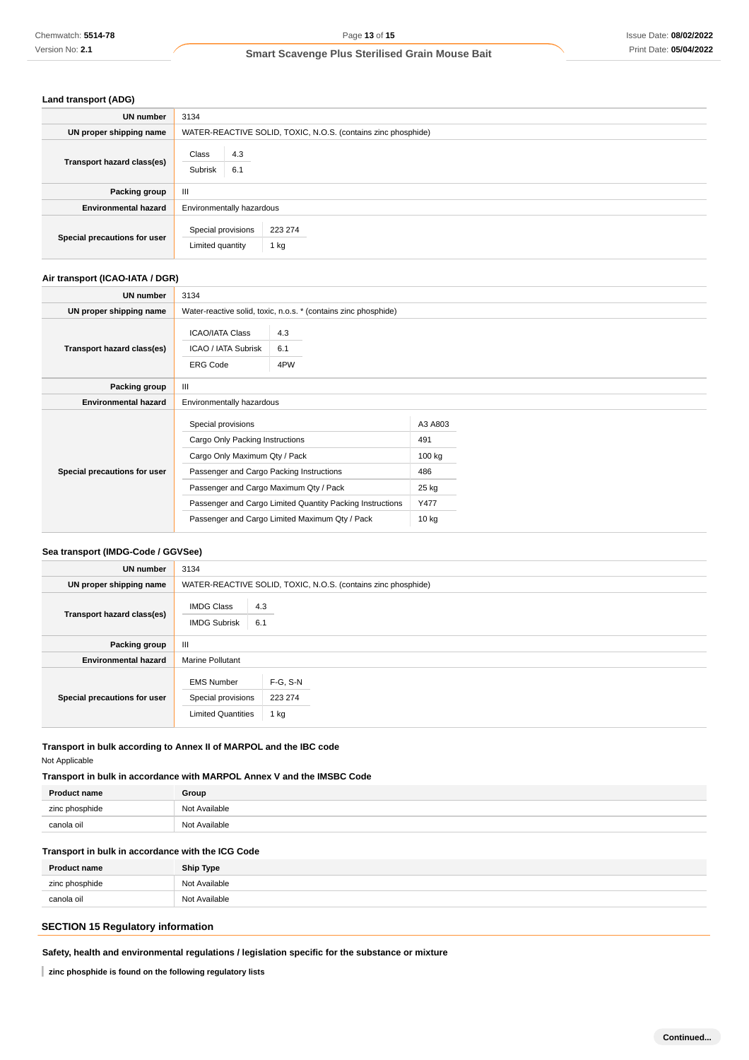### **Land transport (ADG)**

| UN number                    | 3134                                                          |  |  |
|------------------------------|---------------------------------------------------------------|--|--|
| UN proper shipping name      | WATER-REACTIVE SOLID, TOXIC, N.O.S. (contains zinc phosphide) |  |  |
| Transport hazard class(es)   | Class<br>4.3<br>Subrisk<br>6.1                                |  |  |
| Packing group                | Ш                                                             |  |  |
| <b>Environmental hazard</b>  | Environmentally hazardous                                     |  |  |
| Special precautions for user | Special provisions<br>223 274<br>Limited quantity<br>1 kg     |  |  |

### **Air transport (ICAO-IATA / DGR)**

| Chemwatch: 5514-78                                                                                                                                             |                                                                   | Page 13 of 15                                                                                    |         | Issue Date: 08/02/202 |
|----------------------------------------------------------------------------------------------------------------------------------------------------------------|-------------------------------------------------------------------|--------------------------------------------------------------------------------------------------|---------|-----------------------|
| Version No: 2.1                                                                                                                                                | <b>Smart Scavenge Plus Sterilised Grain Mouse Bait</b>            |                                                                                                  |         | Print Date: 05/04/202 |
|                                                                                                                                                                |                                                                   |                                                                                                  |         |                       |
| Land transport (ADG)                                                                                                                                           |                                                                   |                                                                                                  |         |                       |
| UN number                                                                                                                                                      | 3134                                                              |                                                                                                  |         |                       |
| UN proper shipping name                                                                                                                                        |                                                                   | WATER-REACTIVE SOLID, TOXIC, N.O.S. (contains zinc phosphide)                                    |         |                       |
| Transport hazard class(es)                                                                                                                                     | Class<br>4.3                                                      |                                                                                                  |         |                       |
|                                                                                                                                                                | Subrisk<br>6.1                                                    |                                                                                                  |         |                       |
| Packing group                                                                                                                                                  | Ш                                                                 |                                                                                                  |         |                       |
| <b>Environmental hazard</b>                                                                                                                                    | Environmentally hazardous                                         |                                                                                                  |         |                       |
| Special precautions for user                                                                                                                                   | Special provisions                                                | 223 274                                                                                          |         |                       |
|                                                                                                                                                                | Limited quantity                                                  | 1 kg                                                                                             |         |                       |
|                                                                                                                                                                |                                                                   |                                                                                                  |         |                       |
| Air transport (ICAO-IATA / DGR)                                                                                                                                |                                                                   |                                                                                                  |         |                       |
| UN number                                                                                                                                                      | 3134                                                              |                                                                                                  |         |                       |
| UN proper shipping name                                                                                                                                        |                                                                   | Water-reactive solid, toxic, n.o.s. * (contains zinc phosphide)                                  |         |                       |
|                                                                                                                                                                | <b>ICAO/IATA Class</b>                                            | 4.3                                                                                              |         |                       |
| Transport hazard class(es)                                                                                                                                     | ICAO / IATA Subrisk                                               | 6.1                                                                                              |         |                       |
|                                                                                                                                                                | <b>ERG Code</b>                                                   | 4PW                                                                                              |         |                       |
| Packing group                                                                                                                                                  | Ш                                                                 |                                                                                                  |         |                       |
| <b>Environmental hazard</b>                                                                                                                                    | Environmentally hazardous                                         |                                                                                                  |         |                       |
|                                                                                                                                                                | Special provisions                                                |                                                                                                  | A3 A803 |                       |
|                                                                                                                                                                | Cargo Only Packing Instructions                                   |                                                                                                  | 491     |                       |
|                                                                                                                                                                | Cargo Only Maximum Qty / Pack<br>100 kg                           |                                                                                                  |         |                       |
| Special precautions for user                                                                                                                                   | Passenger and Cargo Packing Instructions<br>486                   |                                                                                                  |         |                       |
|                                                                                                                                                                | Passenger and Cargo Maximum Qty / Pack<br>25 kg                   |                                                                                                  |         |                       |
|                                                                                                                                                                | Y477<br>Passenger and Cargo Limited Quantity Packing Instructions |                                                                                                  |         |                       |
|                                                                                                                                                                |                                                                   | Passenger and Cargo Limited Maximum Qty / Pack                                                   | 10 kg   |                       |
|                                                                                                                                                                |                                                                   |                                                                                                  |         |                       |
| Sea transport (IMDG-Code / GGVSee)                                                                                                                             |                                                                   |                                                                                                  |         |                       |
| <b>UN number</b>                                                                                                                                               | 3134                                                              |                                                                                                  |         |                       |
| UN proper shipping name                                                                                                                                        |                                                                   | WATER-REACTIVE SOLID, TOXIC, N.O.S. (contains zinc phosphide)                                    |         |                       |
| Transport hazard class(es)                                                                                                                                     | <b>IMDG Class</b><br>4.3                                          |                                                                                                  |         |                       |
|                                                                                                                                                                | <b>IMDG Subrisk</b><br>6.1                                        |                                                                                                  |         |                       |
| Packing group                                                                                                                                                  | Ш                                                                 |                                                                                                  |         |                       |
| <b>Environmental hazard</b>                                                                                                                                    | Marine Pollutant                                                  |                                                                                                  |         |                       |
|                                                                                                                                                                | <b>EMS Number</b>                                                 | F-G, S-N                                                                                         |         |                       |
| Special precautions for user                                                                                                                                   | 223 274<br>Special provisions                                     |                                                                                                  |         |                       |
|                                                                                                                                                                | <b>Limited Quantities</b>                                         | 1 kg                                                                                             |         |                       |
| Transport in bulk according to Annex II of MARPOL and the IBC code<br>Not Applicable<br>Transport in bulk in accordance with MARPOL Annex V and the IMSBC Code |                                                                   |                                                                                                  |         |                       |
| <b>Product name</b>                                                                                                                                            | Group                                                             |                                                                                                  |         |                       |
| zinc phosphide                                                                                                                                                 | Not Available                                                     |                                                                                                  |         |                       |
| canola oil                                                                                                                                                     | Not Available                                                     |                                                                                                  |         |                       |
| Transport in bulk in accordance with the ICG Code                                                                                                              |                                                                   |                                                                                                  |         |                       |
| <b>Product name</b>                                                                                                                                            | <b>Ship Type</b>                                                  |                                                                                                  |         |                       |
| zinc phosphide                                                                                                                                                 | Not Available                                                     |                                                                                                  |         |                       |
| canola oil                                                                                                                                                     | Not Available                                                     |                                                                                                  |         |                       |
|                                                                                                                                                                |                                                                   |                                                                                                  |         |                       |
| <b>SECTION 15 Regulatory information</b>                                                                                                                       |                                                                   |                                                                                                  |         |                       |
|                                                                                                                                                                |                                                                   | Safety, health and environmental regulations / legislation specific for the substance or mixture |         |                       |
| zinc phosphide is found on the following regulatory lists                                                                                                      |                                                                   |                                                                                                  |         |                       |

# **Sea transport (IMDG-Code / GGVSee)**

| <b>UN number</b>             | 3134                                                                                                  |  |  |
|------------------------------|-------------------------------------------------------------------------------------------------------|--|--|
| UN proper shipping name      | WATER-REACTIVE SOLID, TOXIC, N.O.S. (contains zinc phosphide)                                         |  |  |
| Transport hazard class(es)   | <b>IMDG Class</b><br>4.3<br><b>IMDG Subrisk</b><br>6.1                                                |  |  |
| Packing group                | Ш                                                                                                     |  |  |
| <b>Environmental hazard</b>  | <b>Marine Pollutant</b>                                                                               |  |  |
| Special precautions for user | $F-G, S-N$<br><b>EMS Number</b><br>Special provisions<br>223 274<br><b>Limited Quantities</b><br>1 kg |  |  |

### **Transport in bulk according to Annex II of MARPOL and the IBC code** Not Applicable

# **Transport in bulk in accordance with MARPOL Annex V and the IMSBC Code**

| <b>Product name</b> | Group         |
|---------------------|---------------|
| zinc phosphide      | Not Available |
| canola oil          | Not Available |

# **Transport in bulk in accordance with the ICG Code**

| <b>Product name</b>                                      | <b>Ship Type</b> |
|----------------------------------------------------------|------------------|
| zinc phosphide<br>the control of the control of the con- | Not Available    |
| canola oil                                               | Not Available    |

# **SECTION 15 Regulatory information**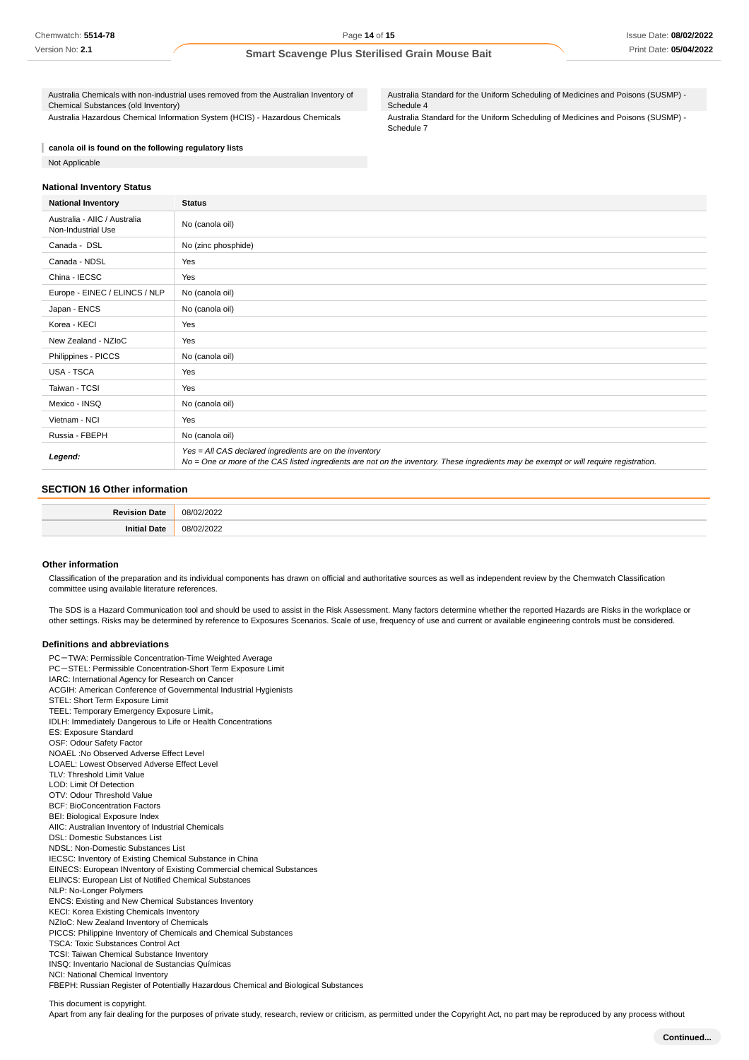Australia Chemicals with non-industrial uses removed from the Australian Inventory of Chemical Substances (old Inventory) Australia Hazardous Chemical Information System (HCIS) - Hazardous Chemicals

Australia Standard for the Uniform Scheduling of Medicines and Poisons (SUSMP) - Schedule 4

Australia Standard for the Uniform Scheduling of Medicines and Poisons (SUSMP) - Schedule 7

**canola oil is found on the following regulatory lists** Not Applicable

#### **National Inventory Status**

| <b>National Inventory</b>                          | <b>Status</b>                                                                                                                                                                                     |
|----------------------------------------------------|---------------------------------------------------------------------------------------------------------------------------------------------------------------------------------------------------|
| Australia - AIIC / Australia<br>Non-Industrial Use | No (canola oil)                                                                                                                                                                                   |
| Canada - DSL                                       | No (zinc phosphide)                                                                                                                                                                               |
| Canada - NDSL                                      | Yes                                                                                                                                                                                               |
| China - IECSC                                      | Yes                                                                                                                                                                                               |
| Europe - EINEC / ELINCS / NLP                      | No (canola oil)                                                                                                                                                                                   |
| Japan - ENCS                                       | No (canola oil)                                                                                                                                                                                   |
| Korea - KECI                                       | Yes                                                                                                                                                                                               |
| New Zealand - NZIoC                                | Yes                                                                                                                                                                                               |
| Philippines - PICCS                                | No (canola oil)                                                                                                                                                                                   |
| USA - TSCA                                         | Yes                                                                                                                                                                                               |
| Taiwan - TCSI                                      | Yes                                                                                                                                                                                               |
| Mexico - INSQ                                      | No (canola oil)                                                                                                                                                                                   |
| Vietnam - NCI                                      | Yes                                                                                                                                                                                               |
| Russia - FBEPH                                     | No (canola oil)                                                                                                                                                                                   |
| Legend:                                            | Yes = All CAS declared ingredients are on the inventory<br>No = One or more of the CAS listed ingredients are not on the inventory. These ingredients may be exempt or will require registration. |

# **SECTION 16 Other information**

| D <sub>o</sub><br>∩ofe | $\Omega'$<br>$\sim$<br>. |
|------------------------|--------------------------|
| 1914                   | $\bigcap$ $\bigcap$      |

#### **Other information**

Classification of the preparation and its individual components has drawn on official and authoritative sources as well as independent review by the Chemwatch Classification committee using available literature references.

The SDS is a Hazard Communication tool and should be used to assist in the Risk Assessment. Many factors determine whether the reported Hazards are Risks in the workplace or other settings. Risks may be determined by reference to Exposures Scenarios. Scale of use, frequency of use and current or available engineering controls must be considered.

#### **Definitions and abbreviations**

PC-TWA: Permissible Concentration-Time Weighted Average PC-STEL: Permissible Concentration-Short Term Exposure Limit IARC: International Agency for Research on Cancer ACGIH: American Conference of Governmental Industrial Hygienists STEL: Short Term Exposure Limit TEEL: Temporary Emergency Exposure Limit。 IDLH: Immediately Dangerous to Life or Health Concentrations ES: Exposure Standard OSF: Odour Safety Factor NOAEL :No Observed Adverse Effect Level LOAEL: Lowest Observed Adverse Effect Level TLV: Threshold Limit Value LOD: Limit Of Detection OTV: Odour Threshold Value BCF: BioConcentration Factors BEI: Biological Exposure Index AIIC: Australian Inventory of Industrial Chemicals DSL: Domestic Substances List NDSL: Non-Domestic Substances List IECSC: Inventory of Existing Chemical Substance in China EINECS: European INventory of Existing Commercial chemical Substances ELINCS: European List of Notified Chemical Substances NLP: No-Longer Polymers ENCS: Existing and New Chemical Substances Inventory KECI: Korea Existing Chemicals Inventory NZIoC: New Zealand Inventory of Chemicals PICCS: Philippine Inventory of Chemicals and Chemical Substances TSCA: Toxic Substances Control Act TCSI: Taiwan Chemical Substance Inventory INSQ: Inventario Nacional de Sustancias Químicas NCI: National Chemical Inventory FBEPH: Russian Register of Potentially Hazardous Chemical and Biological Substances

This document is copyright.

Apart from any fair dealing for the purposes of private study, research, review or criticism, as permitted under the Copyright Act, no part may be reproduced by any process without